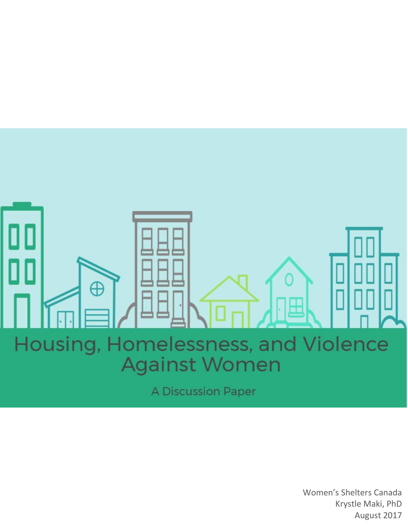

Women's Shelters Canada Krystle Maki, PhD August 2017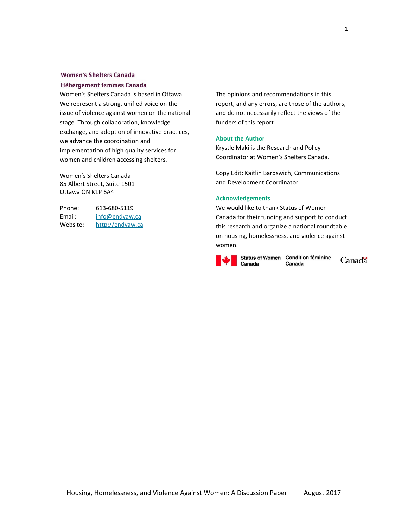#### **Women's Shelters Canada**

#### **Hébergement femmes Canada**

Women's Shelters Canada is based in Ottawa. We represent a strong, unified voice on the issue of violence against women on the national stage. Through collaboration, knowledge exchange, and adoption of innovative practices, we advance the coordination and implementation of high quality services for women and children accessing shelters.

Women's Shelters Canada 85 Albert Street, Suite 1501 Ottawa ON K1P 6A4

Phone: 613-680-5119 Email: [info@endvaw.ca](mailto:info@endvaw.ca) Website: [http://endvaw.ca](http://endvaw.ca/) The opinions and recommendations in this report, and any errors, are those of the authors, and do not necessarily reflect the views of the funders of this report*.* 

#### **About the Author**

Krystle Maki is the Research and Policy Coordinator at Women's Shelters Canada.

Copy Edit: Kaitlin Bardswich, Communications and Development Coordinator

#### <span id="page-1-0"></span>**Acknowledgements**

We would like to thank Status of Women Canada for their funding and support to conduct this research and organize a national roundtable on housing, homelessness, and violence against women.



Status of Women Condition féminine Canada

Canadä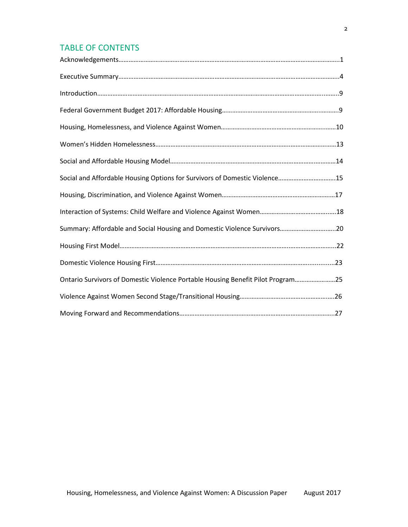# TABLE OF CONTENTS

| Social and Affordable Housing Options for Survivors of Domestic Violence15      |  |
|---------------------------------------------------------------------------------|--|
|                                                                                 |  |
|                                                                                 |  |
| Summary: Affordable and Social Housing and Domestic Violence Survivors20        |  |
|                                                                                 |  |
|                                                                                 |  |
| Ontario Survivors of Domestic Violence Portable Housing Benefit Pilot Program25 |  |
|                                                                                 |  |
|                                                                                 |  |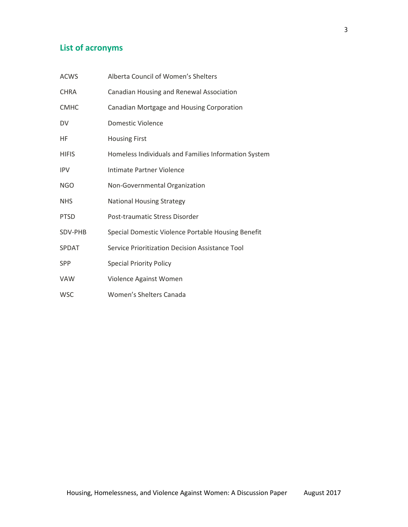# **List of acronyms**

| <b>ACWS</b>  | Alberta Council of Women's Shelters                  |
|--------------|------------------------------------------------------|
| <b>CHRA</b>  | Canadian Housing and Renewal Association             |
| <b>CMHC</b>  | Canadian Mortgage and Housing Corporation            |
| DV           | Domestic Violence                                    |
| HF           | <b>Housing First</b>                                 |
| <b>HIFIS</b> | Homeless Individuals and Families Information System |
| <b>IPV</b>   | Intimate Partner Violence                            |
| <b>NGO</b>   | Non-Governmental Organization                        |
| <b>NHS</b>   | <b>National Housing Strategy</b>                     |
| <b>PTSD</b>  | Post-traumatic Stress Disorder                       |
| SDV-PHB      | Special Domestic Violence Portable Housing Benefit   |
| <b>SPDAT</b> | Service Prioritization Decision Assistance Tool      |
| SPP          | <b>Special Priority Policy</b>                       |
| <b>VAW</b>   | Violence Against Women                               |
| <b>WSC</b>   | Women's Shelters Canada                              |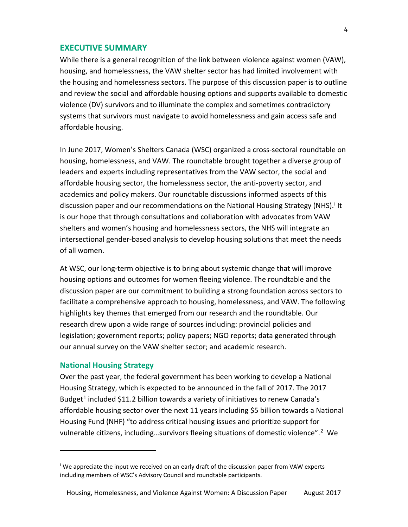# <span id="page-4-0"></span>**EXECUTIVE SUMMARY**

While there is a general recognition of the link between violence against women (VAW), housing, and homelessness, the VAW shelter sector has had limited involvement with the housing and homelessness sectors. The purpose of this discussion paper is to outline and review the social and affordable housing options and supports available to domestic violence (DV) survivors and to illuminate the complex and sometimes contradictory systems that survivors must navigate to avoid homelessness and gain access safe and affordable housing.

In June 2017, Women's Shelters Canada (WSC) organized a cross-sectoral roundtable on housing, homelessness, and VAW. The roundtable brought together a diverse group of leaders and experts including representatives from the VAW sector, the social and affordable housing sector, the homelessness sector, the anti-poverty sector, and academics and policy makers. Our roundtable discussions informed aspects of this d[i](#page-4-1)scussion paper and our recommendations on the National Housing Strategy (NHS).<sup>i</sup> It is our hope that through consultations and collaboration with advocates from VAW shelters and women's housing and homelessness sectors, the NHS will integrate an intersectional gender-based analysis to develop housing solutions that meet the needs of all women.

At WSC, our long-term objective is to bring about systemic change that will improve housing options and outcomes for women fleeing violence. The roundtable and the discussion paper are our commitment to building a strong foundation across sectors to facilitate a comprehensive approach to housing, homelessness, and VAW. The following highlights key themes that emerged from our research and the roundtable. Our research drew upon a wide range of sources including: provincial policies and legislation; government reports; policy papers; NGO reports; data generated through our annual survey on the VAW shelter sector; and academic research.

### **National Housing Strategy**

 $\overline{\phantom{a}}$ 

Over the past year, the federal government has been working to develop a National Housing Strategy, which is expected to be announced in the fall of 2017. The 2017 Budget<sup>[1](#page-31-0)</sup> included \$11.2 billion towards a variety of initiatives to renew Canada's affordable housing sector over the next 11 years including \$5 billion towards a National Housing Fund (NHF) "to address critical housing issues and prioritize support for vulnerable citizens, including...survivors fleeing situations of domestic violence".<sup>[2](#page-31-1)</sup> We

<span id="page-4-1"></span><sup>&</sup>lt;sup>i</sup> We appreciate the input we received on an early draft of the discussion paper from VAW experts including members of WSC's Advisory Council and roundtable participants.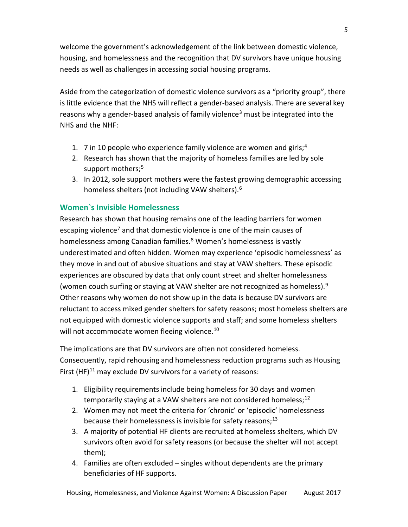welcome the government's acknowledgement of the link between domestic violence, housing, and homelessness and the recognition that DV survivors have unique housing needs as well as challenges in accessing social housing programs.

Aside from the categorization of domestic violence survivors as a "priority group", there is little evidence that the NHS will reflect a gender-based analysis. There are several key reasons why a gender-based analysis of family violence<sup>[3](#page-31-2)</sup> must be integrated into the NHS and the NHF:

- 1. 7 in 10 people who experience family violence are women and girls;  $4$
- 2. Research has shown that the majority of homeless families are led by sole support mothers;<sup>[5](#page-31-4)</sup>
- 3. In 2012, sole support mothers were the fastest growing demographic accessing homeless shelters (not including VAW shelters).<sup>[6](#page-31-5)</sup>

# **Women`s Invisible Homelessness**

Research has shown that housing remains one of the leading barriers for women escaping violence<sup>[7](#page-31-6)</sup> and that domestic violence is one of the main causes of homelessness among Canadian families.<sup>[8](#page-31-7)</sup> Women's homelessness is vastly underestimated and often hidden. Women may experience 'episodic homelessness' as they move in and out of abusive situations and stay at VAW shelters. These episodic experiences are obscured by data that only count street and shelter homelessness (women couch surfing or staying at VAW shelter are not recognized as homeless).<sup>[9](#page-31-8)</sup> Other reasons why women do not show up in the data is because DV survivors are reluctant to access mixed gender shelters for safety reasons; most homeless shelters are not equipped with domestic violence supports and staff; and some homeless shelters will not accommodate women fleeing violence.<sup>[10](#page-31-9)</sup>

The implications are that DV survivors are often not considered homeless. Consequently, rapid rehousing and homelessness reduction programs such as Housing First  $(HF)^{11}$  $(HF)^{11}$  $(HF)^{11}$  may exclude DV survivors for a variety of reasons:

- 1. Eligibility requirements include being homeless for 30 days and women temporarily staying at a VAW shelters are not considered homeless;  $^{12}$  $^{12}$  $^{12}$
- 2. Women may not meet the criteria for 'chronic' or 'episodic' homelessness because their homelessness is invisible for safety reasons; $^{13}$  $^{13}$  $^{13}$
- 3. A majority of potential HF clients are recruited at homeless shelters, which DV survivors often avoid for safety reasons (or because the shelter will not accept them);
- 4. Families are often excluded singles without dependents are the primary beneficiaries of HF supports.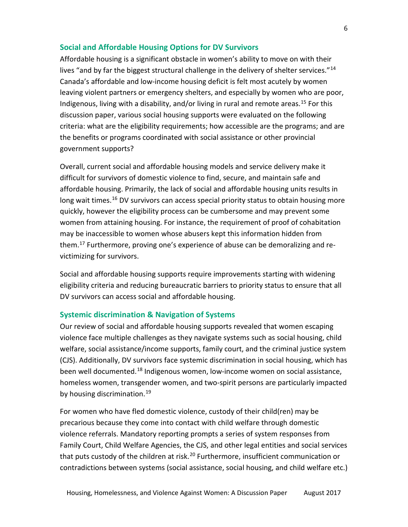# **Social and Affordable Housing Options for DV Survivors**

Affordable housing is a significant obstacle in women's ability to move on with their lives "and by far the biggest structural challenge in the delivery of shelter services."<sup>[14](#page-32-3)</sup> Canada's affordable and low-income housing deficit is felt most acutely by women leaving violent partners or emergency shelters, and especially by women who are poor, Indigenous, living with a disability, and/or living in rural and remote areas.<sup>[15](#page-32-4)</sup> For this discussion paper, various social housing supports were evaluated on the following criteria: what are the eligibility requirements; how accessible are the programs; and are the benefits or programs coordinated with social assistance or other provincial government supports?

Overall, current social and affordable housing models and service delivery make it difficult for survivors of domestic violence to find, secure, and maintain safe and affordable housing. Primarily, the lack of social and affordable housing units results in long wait times.<sup>[16](#page-32-5)</sup> DV survivors can access special priority status to obtain housing more quickly, however the eligibility process can be cumbersome and may prevent some women from attaining housing. For instance, the requirement of proof of cohabitation may be inaccessible to women whose abusers kept this information hidden from them[.17](#page-32-6) Furthermore, proving one's experience of abuse can be demoralizing and revictimizing for survivors.

Social and affordable housing supports require improvements starting with widening eligibility criteria and reducing bureaucratic barriers to priority status to ensure that all DV survivors can access social and affordable housing.

# **Systemic discrimination & Navigation of Systems**

Our review of social and affordable housing supports revealed that women escaping violence face multiple challenges as they navigate systems such as social housing, child welfare, social assistance/income supports, family court, and the criminal justice system (CJS). Additionally, DV survivors face systemic discrimination in social housing, which has been well documented.[18](#page-32-7) Indigenous women, low-income women on social assistance, homeless women, transgender women, and two-spirit persons are particularly impacted by housing discrimination.<sup>[19](#page-32-8)</sup>

For women who have fled domestic violence, custody of their child(ren) may be precarious because they come into contact with child welfare through domestic violence referrals. Mandatory reporting prompts a series of system responses from Family Court, Child Welfare Agencies, the CJS, and other legal entities and social services that puts custody of the children at risk.<sup>[20](#page-32-9)</sup> Furthermore, insufficient communication or contradictions between systems (social assistance, social housing, and child welfare etc.)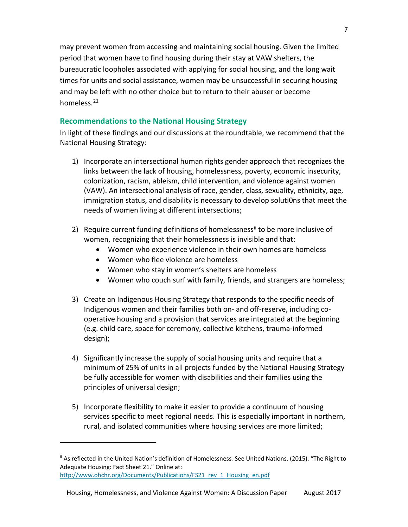may prevent women from accessing and maintaining social housing. Given the limited period that women have to find housing during their stay at VAW shelters, the bureaucratic loopholes associated with applying for social housing, and the long wait times for units and social assistance, women may be unsuccessful in securing housing and may be left with no other choice but to return to their abuser or become homeless.<sup>[21](#page-32-10)</sup>

# **Recommendations to the National Housing Strategy**

In light of these findings and our discussions at the roundtable, we recommend that the National Housing Strategy:

- 1) Incorporate an intersectional human rights gender approach that recognizes the links between the lack of housing, homelessness, poverty, economic insecurity, colonization, racism, ableism, child intervention, and violence against women (VAW). An intersectional analysis of race, gender, class, sexuality, ethnicity, age, immigration status, and disability is necessary to develop soluti0ns that meet the needs of women living at different intersections;
- 2) Require current funding definitions of homelessness<sup>[ii](#page-7-0)</sup> to be more inclusive of women, recognizing that their homelessness is invisible and that:
	- Women who experience violence in their own homes are homeless
	- Women who flee violence are homeless

 $\overline{\phantom{a}}$ 

- Women who stay in women's shelters are homeless
- Women who couch surf with family, friends, and strangers are homeless;
- 3) Create an Indigenous Housing Strategy that responds to the specific needs of Indigenous women and their families both on- and off-reserve, including cooperative housing and a provision that services are integrated at the beginning (e.g. child care, space for ceremony, collective kitchens, trauma-informed design);
- 4) Significantly increase the supply of social housing units and require that a minimum of 25% of units in all projects funded by the National Housing Strategy be fully accessible for women with disabilities and their families using the principles of universal design;
- 5) Incorporate flexibility to make it easier to provide a continuum of housing services specific to meet regional needs. This is especially important in northern, rural, and isolated communities where housing services are more limited;

<span id="page-7-0"></span><sup>&</sup>lt;sup>ii</sup> As reflected in the United Nation's definition of Homelessness. See United Nations. (2015). "The Right to Adequate Housing: Fact Sheet 21." Online at: [http://www.ohchr.org/Documents/Publications/FS21\\_rev\\_1\\_Housing\\_en.pdf](http://www.ohchr.org/Documents/Publications/FS21_rev_1_Housing_en.pdf)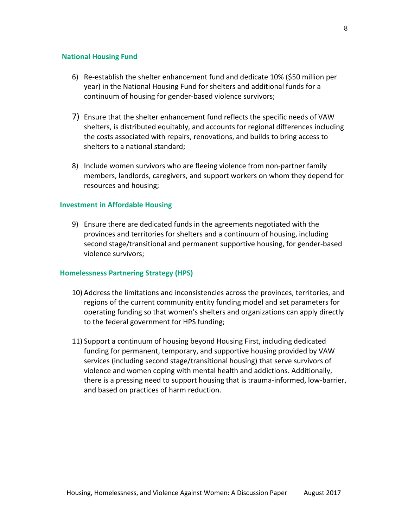### **National Housing Fund**

- 6) Re-establish the shelter enhancement fund and dedicate 10% (\$50 million per year) in the National Housing Fund for shelters and additional funds for a continuum of housing for gender-based violence survivors;
- 7) Ensure that the shelter enhancement fund reflects the specific needs of VAW shelters, is distributed equitably, and accounts for regional differences including the costs associated with repairs, renovations, and builds to bring access to shelters to a national standard;
- 8) Include women survivors who are fleeing violence from non-partner family members, landlords, caregivers, and support workers on whom they depend for resources and housing;

### **Investment in Affordable Housing**

9) Ensure there are dedicated funds in the agreements negotiated with the provinces and territories for shelters and a continuum of housing, including second stage/transitional and permanent supportive housing, for gender-based violence survivors;

### **Homelessness Partnering Strategy (HPS)**

- 10) Address the limitations and inconsistencies across the provinces, territories, and regions of the current community entity funding model and set parameters for operating funding so that women's shelters and organizations can apply directly to the federal government for HPS funding;
- 11) Support a continuum of housing beyond Housing First, including dedicated funding for permanent, temporary, and supportive housing provided by VAW services (including second stage/transitional housing) that serve survivors of violence and women coping with mental health and addictions. Additionally, there is a pressing need to support housing that is trauma-informed, low-barrier, and based on practices of harm reduction.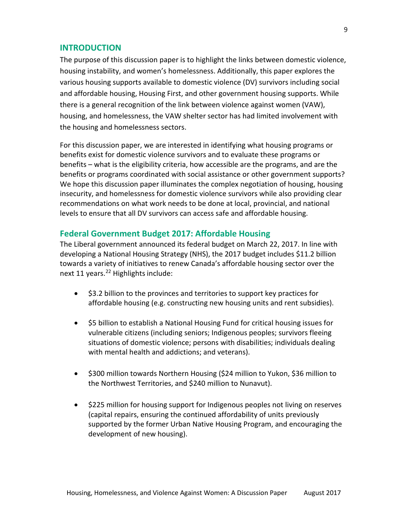# <span id="page-9-0"></span>**INTRODUCTION**

The purpose of this discussion paper is to highlight the links between domestic violence, housing instability, and women's homelessness. Additionally, this paper explores the various housing supports available to domestic violence (DV) survivors including social and affordable housing, Housing First, and other government housing supports. While there is a general recognition of the link between violence against women (VAW), housing, and homelessness, the VAW shelter sector has had limited involvement with the housing and homelessness sectors.

For this discussion paper, we are interested in identifying what housing programs or benefits exist for domestic violence survivors and to evaluate these programs or benefits – what is the eligibility criteria, how accessible are the programs, and are the benefits or programs coordinated with social assistance or other government supports? We hope this discussion paper illuminates the complex negotiation of housing, housing insecurity, and homelessness for domestic violence survivors while also providing clear recommendations on what work needs to be done at local, provincial, and national levels to ensure that all DV survivors can access safe and affordable housing.

# <span id="page-9-1"></span>**Federal Government Budget 2017: Affordable Housing**

The Liberal government announced its federal budget on March 22, 2017. In line with developing a National Housing Strategy (NHS), the 2017 budget includes \$11.2 billion towards a variety of initiatives to renew Canada's affordable housing sector over the next 11 years. [22](#page-32-11) Highlights include:

- \$3.2 billion to the provinces and territories to support key practices for affordable housing (e.g. constructing new housing units and rent subsidies).
- \$5 billion to establish a National Housing Fund for critical housing issues for vulnerable citizens (including seniors; Indigenous peoples; survivors fleeing situations of domestic violence; persons with disabilities; individuals dealing with mental health and addictions; and veterans).
- \$300 million towards Northern Housing (\$24 million to Yukon, \$36 million to the Northwest Territories, and \$240 million to Nunavut).
- \$225 million for housing support for Indigenous peoples not living on reserves (capital repairs, ensuring the continued affordability of units previously supported by the former Urban Native Housing Program, and encouraging the development of new housing).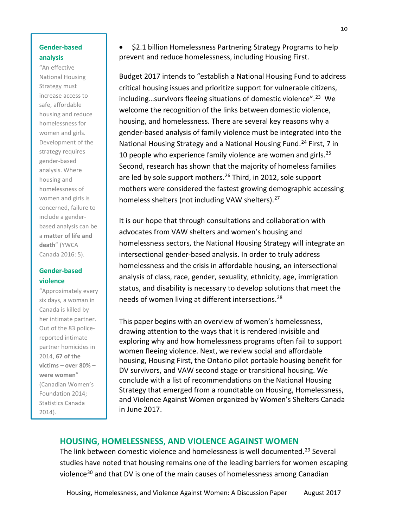# **Gender-based analysis**

"An effective National Housing Strategy must increase access to safe, affordable housing and reduce homelessness for women and girls. Development of the strategy requires gender-based analysis. Where housing and homelessness of women and girls is concerned, failure to include a genderbased analysis can be a **matter of life and death**" (YWCA Canada 2016: 5).

# **Gender-based violence**

"Approximately every six days, a woman in Canada is killed by her intimate partner. Out of the 83 policereported intimate partner homicides in 2014, **67 of the victims – over 80% – were women**" (Canadian Women's Foundation 2014; Statistics Canada 2014).

• \$2.1 billion Homelessness Partnering Strategy Programs to help prevent and reduce homelessness, including Housing First.

Budget 2017 intends to "establish a National Housing Fund to address critical housing issues and prioritize support for vulnerable citizens, including…survivors fleeing situations of domestic violence". [23](#page-32-12) We welcome the recognition of the links between domestic violence, housing, and homelessness. There are several key reasons why a gender-based analysis of family violence must be integrated into the National Housing Strategy and a National Housing Fund.<sup>[24](#page-32-13)</sup> First, 7 in 10 people who experience family violence are women and girls. [25](#page-32-14) Second, research has shown that the majority of homeless families are led by sole support mothers. [26](#page-32-15) Third, in 2012, sole support mothers were considered the fastest growing demographic accessing homeless shelters (not including VAW shelters).<sup>[27](#page-32-16)</sup>

It is our hope that through consultations and collaboration with advocates from VAW shelters and women's housing and homelessness sectors, the National Housing Strategy will integrate an intersectional gender-based analysis. In order to truly address homelessness and the crisis in affordable housing, an intersectional analysis of class, race, gender, sexuality, ethnicity, age, immigration status, and disability is necessary to develop solutions that meet the needs of women living at different intersections.<sup>[28](#page-32-17)</sup>

This paper begins with an overview of women's homelessness, drawing attention to the ways that it is rendered invisible and exploring why and how homelessness programs often fail to support women fleeing violence. Next, we review social and affordable housing, Housing First, the Ontario pilot portable housing benefit for DV survivors, and VAW second stage or transitional housing. We conclude with a list of recommendations on the National Housing Strategy that emerged from a roundtable on Housing, Homelessness, and Violence Against Women organized by Women's Shelters Canada in June 2017.

# <span id="page-10-0"></span>**HOUSING, HOMELESSNESS, AND VIOLENCE AGAINST WOMEN**

The link between domestic violence and homelessness is well documented.<sup>[29](#page-33-0)</sup> Several studies have noted that housing remains one of the leading barriers for women escaping violence<sup>[30](#page-33-1)</sup> and that DV is one of the main causes of homelessness among Canadian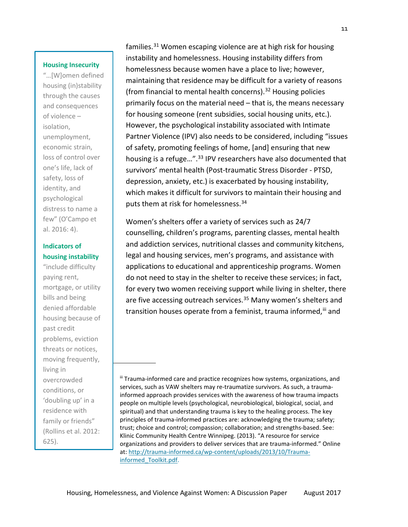#### **Housing Insecurity**

"…[W]omen defined housing (in)stability through the causes and consequences of violence – isolation, unemployment, economic strain, loss of control over one's life, lack of safety, loss of identity, and psychological distress to name a few" (O'Campo et al. 2016: 4).

# **Indicators of housing instability**

 moving frequently, "include difficulty paying rent, mortgage, or utility bills and being denied affordable housing because of past credit problems, eviction threats or notices, living in overcrowded conditions, or 'doubling up' in a residence with family or friends" (Rollins et al. 2012: 625).

families.<sup>[31](#page-33-2)</sup> Women escaping violence are at high risk for housing instability and homelessness. Housing instability differs from homelessness because women have a place to live; however, maintaining that residence may be difficult for a variety of reasons (from financial to mental health concerns).<sup>[32](#page-33-3)</sup> Housing policies primarily focus on the material need – that is, the means necessary for housing someone (rent subsidies, social housing units, etc.). However, the psychological instability associated with Intimate Partner Violence (IPV) also needs to be considered, including "issues of safety, promoting feelings of home, [and] ensuring that new housing is a refuge...".<sup>[33](#page-33-4)</sup> IPV researchers have also documented that survivors' mental health (Post-traumatic Stress Disorder - PTSD, depression, anxiety, etc.) is exacerbated by housing instability, which makes it difficult for survivors to maintain their housing and puts them at risk for homelessness. [34](#page-33-5)

Women's shelters offer a variety of services such as 24/7 counselling, children's programs, parenting classes, mental health and addiction services, nutritional classes and community kitchens, legal and housing services, men's programs, and assistance with applications to educational and apprenticeship programs. Women do not need to stay in the shelter to receive these services; in fact, for every two women receiving support while living in shelter, there are five accessing outreach services.<sup>[35](#page-33-6)</sup> Many women's shelters and transition houses operate from a feminist, trauma informed, [iii](#page-11-0) and

<span id="page-11-0"></span>iii Trauma-informed care and practice recognizes how systems, organizations, and services, such as VAW shelters may re-traumatize survivors. As such, a traumainformed approach provides services with the awareness of how trauma impacts people on multiple levels (psychological, neurobiological, biological, social, and spiritual) and that understanding trauma is key to the healing process. The key principles of trauma-informed practices are: acknowledging the trauma; safety; trust; choice and control; compassion; collaboration; and strengths-based. See: Klinic Community Health Centre Winnipeg. (2013). "A resource for service organizations and providers to deliver services that are trauma-informed." Online at: [http://trauma-informed.ca/wp-content/uploads/2013/10/Trauma](http://trauma-informed.ca/wp-content/uploads/2013/10/Trauma-informed_Toolkit.pdf)[informed\\_Toolkit.pdf.](http://trauma-informed.ca/wp-content/uploads/2013/10/Trauma-informed_Toolkit.pdf)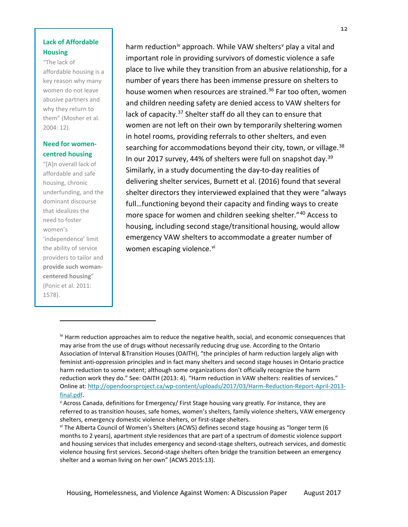# **Lack of Affordable Housing**

"The lack of

affordable housing is a key reason why many women do not leave abusive partners and why they return to them" (Mosher et al. 2004: 12).

# **Need for womencentred housing**

"[A]n overall lack of affordable and safe housing, chronic underfunding, and the dominant discourse that idealizes the need to foster women's 'independence' limit the ability of service providers to tailor and **provide such womancentered housing**" (Ponic et al. 2011: 1578).

 $\overline{\phantom{a}}$ 

harm reduction<sup>[iv](#page-12-0)</sup> approach. While VAW shelters<sup>[v](#page-12-1)</sup> play a vital and important role in providing survivors of domestic violence a safe place to live while they transition from an abusive relationship, for a number of years there has been immense pressure on shelters to house women when resources are strained.<sup>[36](#page-33-7)</sup> Far too often, women and children needing safety are denied access to VAW shelters for lack of capacity.<sup>[37](#page-33-8)</sup> Shelter staff do all they can to ensure that women are not left on their own by temporarily sheltering women in hotel rooms, providing referrals to other shelters, and even searching for accommodations beyond their city, town, or village.<sup>[38](#page-33-9)</sup> In our 2017 survey, 44% of shelters were full on snapshot day.<sup>[39](#page-33-10)</sup> Similarly, in a study documenting the day-to-day realities of delivering shelter services, Burnett et al. (2016) found that several shelter directors they interviewed explained that they were "always full…functioning beyond their capacity and finding ways to create more space for women and children seeking shelter."[40](#page-33-11) Access to housing, including second stage/transitional housing, would allow emergency VAW shelters to accommodate a greater number of women escaping [vi](#page-12-2)olence.<sup>vi</sup>

<span id="page-12-0"></span> $\mu$ <sup>1</sup> Harm reduction approaches aim to reduce the negative health, social, and economic consequences that may arise from the use of drugs without necessarily reducing drug use. According to the Ontario Association of Interval &Transition Houses (OAITH), "the principles of harm reduction largely align with feminist anti-oppression principles and in fact many shelters and second stage houses in Ontario practice harm reduction to some extent; although some organizations don't officially recognize the harm reduction work they do." See: OAITH (2013: 4). "Harm reduction in VAW shelters: realities of services." Online at: [http://opendoorsproject.ca/wp-content/uploads/2017/03/Harm-Reduction-Report-April-2013](http://opendoorsproject.ca/wp-content/uploads/2017/03/Harm-Reduction-Report-April-2013-final.pdf) [final.pdf.](http://opendoorsproject.ca/wp-content/uploads/2017/03/Harm-Reduction-Report-April-2013-final.pdf)

<span id="page-12-1"></span><sup>v</sup> Across Canada, definitions for Emergency/ First Stage housing vary greatly. For instance, they are referred to as transition houses, safe homes, women's shelters, family violence shelters, VAW emergency shelters, emergency domestic violence shelters, or first-stage shelters.

<span id="page-12-2"></span>vi The Alberta Council of Women's Shelters (ACWS) defines second stage housing as "longer term (6 months to 2 years), apartment style residences that are part of a spectrum of domestic violence support and housing services that includes emergency and second-stage shelters, outreach services, and domestic violence housing first services. Second-stage shelters often bridge the transition between an emergency shelter and a woman living on her own" (ACWS 2015:13).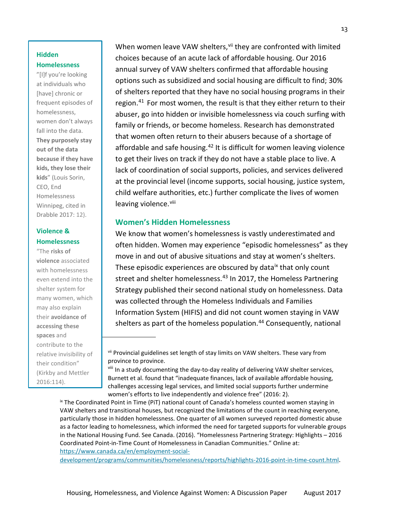# **Hidden Homelessness**

"[I]f you're looking at individuals who [have] chronic or frequent episodes of homelessness, women don't always fall into the data. **They purposely stay out of the data because if they have kids, they lose their kids**" (Louis Sorin, CEO, End Homelessness Winnipeg, cited in Drabble 2017: 12).

# **Violence & Homelessness**

ľ "The **risks of violence** associated with homelessness even extend into the shelter system for many women, which may also explain their **avoidance of accessing these spaces** and contribute to the relative invisibility of their condition" (Kirkby and Mettler 2016:114).

When women leave VAW shelters, [vii](#page-13-1) they are confronted with limited choices because of an acute lack of affordable housing. Our 2016 annual survey of VAW shelters confirmed that affordable housing options such as subsidized and social housing are difficult to find; 30% of shelters reported that they have no social housing programs in their region.<sup>[41](#page-33-12)</sup> For most women, the result is that they either return to their abuser, go into hidden or invisible homelessness via couch surfing with family or friends, or become homeless. Research has demonstrated that women often return to their abusers because of a shortage of affordable and safe housing.<sup>[42](#page-33-13)</sup> It is difficult for women leaving violence to get their lives on track if they do not have a stable place to live. A lack of coordination of social supports, policies, and services delivered at the provincial level (income supports, social housing, justice system, child welfare authorities, etc.) further complicate the lives of women leaving violence.<sup>[viii](#page-13-2)</sup>

# <span id="page-13-0"></span>**Women's Hidden Homelessness**

We know that women's homelessness is vastly underestimated and often hidden. Women may experience "episodic homelessness" as they move in and out of abusive situations and stay at women's shelters. These episodic experiences are obscured by data<sup>[ix](#page-13-3)</sup> that only count street and shelter homelessness.<sup>[43](#page-33-14)</sup> In 2017, the Homeless Partnering Strategy published their second national study on homelessness. Data was collected through the Homeless Individuals and Families Information System (HIFIS) and did not count women staying in VAW shelters as part of the homeless population. [44](#page-33-15) Consequently, national

<span id="page-13-3"></span><span id="page-13-2"></span><span id="page-13-1"></span><sup>ix</sup> The Coordinated Point in Time (PiT) national count of Canada's homeless counted women staying in VAW shelters and transitional houses, but recognized the limitations of the count in reaching everyone, particularly those in hidden homelessness. One quarter of all women surveyed reported domestic abuse as a factor leading to homelessness, which informed the need for targeted supports for vulnerable groups in the National Housing Fund. See Canada. (2016). "Homelessness Partnering Strategy: Highlights – 2016 Coordinated Point-in-Time Count of Homelessness in Canadian Communities." Online at: [https://www.canada.ca/en/employment-social-](https://www.canada.ca/en/employment-social-development/programs/communities/homelessness/reports/highlights-2016-point-in-time-count.html)

[development/programs/communities/homelessness/reports/highlights-2016-point-in-time-count.html.](https://www.canada.ca/en/employment-social-development/programs/communities/homelessness/reports/highlights-2016-point-in-time-count.html)

vii Provincial guidelines set length of stay limits on VAW shelters. These vary from province to province.

viii In a study documenting the day-to-day reality of delivering VAW shelter services, Burnett et al. found that "inadequate finances, lack of available affordable housing, challenges accessing legal services, and limited social supports further undermine women's efforts to live independently and violence free" (2016: 2).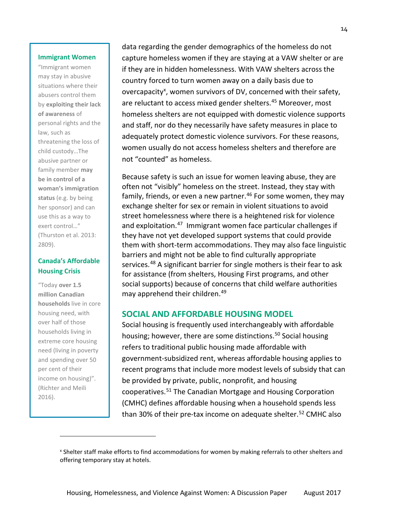#### **Immigrant Women**

"Immigrant women may stay in abusive situations where their abusers control them by **exploiting their lack of awareness** of personal rights and the law, such as threatening the loss of child custody…The abusive partner or family member **may be in control of a woman's immigration status** (e.g. by being her sponsor) and can use this as a way to exert control…" (Thurston et al. 2013: 2809).

# **Canada's Affordable Housing Crisis**

"Today **[over](http://homelesshub.ca/resource/state-homelessness-canada-2014) 1.5 million [Canadian](http://homelesshub.ca/resource/state-homelessness-canada-2014) [households](http://homelesshub.ca/resource/state-homelessness-canada-2014)** live in core housing need, with over half of those households living in extreme core housing need (living in poverty and spending over 50 per cent of their income on housing)". (Richter and Meili 2016).

 $\overline{\phantom{0}}$ 

data regarding the gender demographics of the homeless do not capture homeless women if they are staying at a VAW shelter or are if they are in hidden homelessness. With VAW shelters across the country forced to turn women away on a daily basis due to overcapacity<sup>[x](#page-14-1)</sup>, women survivors of DV, concerned with their safety, are reluctant to access mixed gender shelters. [45](#page-33-16) Moreover, most homeless shelters are not equipped with domestic violence supports and staff, nor do they necessarily have safety measures in place to adequately protect domestic violence survivors. For these reasons, women usually do not access homeless shelters and therefore are not "counted" as homeless.

Because safety is such an issue for women leaving abuse, they are often not "visibly" homeless on the street. Instead, they stay with family, friends, or even a new partner.<sup>[46](#page-33-17)</sup> For some women, they may exchange shelter for sex or remain in violent situations to avoid street homelessness where there is a heightened risk for violence and exploitation.<sup>[47](#page-33-18)</sup> Immigrant women face particular challenges if they have not yet developed support systems that could provide them with short-term accommodations. They may also face linguistic barriers and might not be able to find culturally appropriate services. [48](#page-33-19) A significant barrier for single mothers is their fear to ask for assistance (from shelters, Housing First programs, and other social supports) because of concerns that child welfare authorities may apprehend their children. [49](#page-33-20)

# <span id="page-14-0"></span>**SOCIAL AND AFFORDABLE HOUSING MODEL**

Social housing is frequently used interchangeably with affordable housing; however, there are some distinctions.<sup>[50](#page-34-0)</sup> Social housing refers to traditional public housing made affordable with government-subsidized rent, whereas affordable housing applies to recent programs that include more modest levels of subsidy that can be provided by private, public, nonprofit, and housing cooperatives. [51](#page-34-1) The Canadian Mortgage and Housing Corporation (CMHC) defines affordable housing when a household spends less than 30% of their pre-tax income on adequate shelter. [52](#page-34-2) CMHC also

<span id="page-14-1"></span><sup>x</sup> Shelter staff make efforts to find accommodations for women by making referrals to other shelters and offering temporary stay at hotels.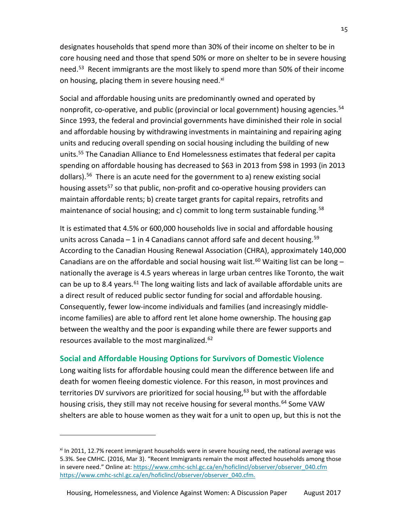designates households that spend more than 30% of their income on shelter to be in core housing need and those that spend 50% or more on shelter to be in severe housing need. [53](#page-34-3) Recent immigrants are the most likely to spend more than 50% of their income on housing, placing them in severe housing need.<sup>[xi](#page-15-1)</sup>

Social and affordable housing units are predominantly owned and operated by nonprofit, co-operative, and public (provincial or local government) housing agencies. [54](#page-34-4) Since 1993, the federal and provincial governments have diminished their role in social and affordable housing by withdrawing investments in maintaining and repairing aging units and reducing overall spending on social housing including the building of new units. [55](#page-34-5) The Canadian Alliance to End Homelessness estimates that federal per capita spending on affordable housing has decreased to \$63 in 2013 from \$98 in 1993 (in 2013 dollars). [56](#page-34-6) There is an acute need for the government to a) renew existing social housing assets<sup>57</sup> so that public, non-profit and co-operative housing providers can maintain affordable rents; b) create target grants for capital repairs, retrofits and maintenance of social housing; and c) commit to long term sustainable funding.<sup>[58](#page-34-8)</sup>

It is estimated that 4.5% or 600,000 households live in social and affordable housing units across Canada - 1 in 4 Canadians cannot afford safe and decent housing.<sup>[59](#page-34-9)</sup> According to the Canadian Housing Renewal Association (CHRA), approximately 140,000 Canadians are on the affordable and social housing wait list.<sup>[60](#page-34-10)</sup> Waiting list can be long  $$ nationally the average is 4.5 years whereas in large urban centres like Toronto, the wait can be up to 8.4 years.<sup>[61](#page-34-11)</sup> The long waiting lists and lack of available affordable units are a direct result of reduced public sector funding for social and affordable housing. Consequently, fewer low-income individuals and families (and increasingly middleincome families) are able to afford rent let alone home ownership. The housing gap between the wealthy and the poor is expanding while there are fewer supports and resources available to the most marginalized.<sup>62</sup>

# <span id="page-15-0"></span>**Social and Affordable Housing Options for Survivors of Domestic Violence**

Long waiting lists for affordable housing could mean the difference between life and death for women fleeing domestic violence. For this reason, in most provinces and territories DV survivors are prioritized for social housing,<sup>[63](#page-34-13)</sup> but with the affordable housing crisis, they still may not receive housing for several months.<sup>[64](#page-34-14)</sup> Some VAW shelters are able to house women as they wait for a unit to open up, but this is not the

 $\overline{\phantom{0}}$ 

<span id="page-15-1"></span> $x$ <sup>i</sup> In 2011, 12.7% recent immigrant households were in severe housing need, the national average was 5.3%. See CMHC. (2016, Mar 3). "Recent Immigrants remain the most affected households among those in severe need." Online at[: https://www.cmhc-schl.gc.ca/en/hoficlincl/observer/observer\\_040.cfm](https://www.cmhc-schl.gc.ca/en/hoficlincl/observer/observer_040.cfm) [https://www.cmhc-schl.gc.ca/en/hoficlincl/observer/observer\\_040.cfm.](https://www.cmhc-schl.gc.ca/en/hoficlincl/observer/observer_040.cfm)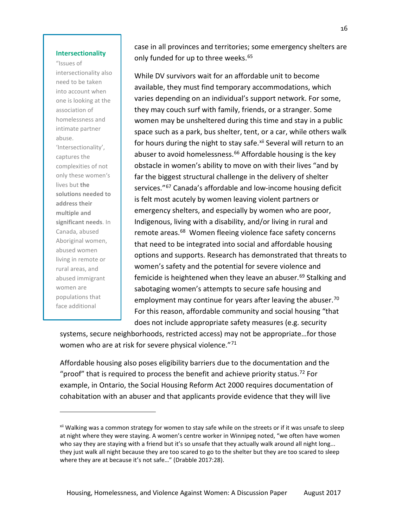#### **Intersectionality**

"Issues of intersectionality also need to be taken into account when one is looking at the association of homelessness and intimate partner abuse. 'Intersectionality', captures the complexities of not only these women's lives but **the solutions needed to address their multiple and significant needs**. In Canada, abused Aboriginal women, abused women living in remote or rural areas, and abused immigrant women are populations that face additional

 $\overline{\phantom{0}}$ 

case in all provinces and territories; some emergency shelters are only funded for up to three weeks. [65](#page-34-15)

While DV survivors wait for an affordable unit to become available, they must find temporary accommodations, which varies depending on an individual's support network. For some, they may couch surf with family, friends, or a stranger. Some women may be unsheltered during this time and stay in a public space such as a park, bus shelter, tent, or a car, while others walk for hours during the night to stay safe.<sup>[xii](#page-16-0)</sup> Several will return to an abuser to avoid homelessness. [66](#page-34-16) Affordable housing is the key obstacle in women's ability to move on with their lives "and by far the biggest structural challenge in the delivery of shelter services."<sup>[67](#page-34-17)</sup> Canada's affordable and low-income housing deficit is felt most acutely by women leaving violent partners or emergency shelters, and especially by women who are poor, Indigenous, living with a disability, and/or living in rural and remote areas. [68](#page-34-18) Women fleeing violence face safety concerns that need to be integrated into social and affordable housing options and supports. Research has demonstrated that threats to women's safety and the potential for severe violence and femicide is heightened when they leave an abuser. [69](#page-34-19) Stalking and sabotaging women's attempts to secure safe housing and employment may continue for years after leaving the abuser.<sup>[70](#page-35-0)</sup> For this reason, affordable community and social housing "that does not include appropriate safety measures (e.g. security

systems, secure neighborhoods, restricted access) may not be appropriate…for those women who are at risk for severe physical violence."<sup>[71](#page-35-1)</sup>

Affordable housing also poses eligibility barriers due to the documentation and the "proof" that is required to process the benefit and achieve priority status.<sup>[72](#page-35-2)</sup> For example, in Ontario, the Social Housing Reform Act 2000 requires documentation of cohabitation with an abuser and that applicants provide evidence that they will live

<span id="page-16-0"></span><sup>&</sup>lt;sup>xii</sup> Walking was a common strategy for women to stay safe while on the streets or if it was unsafe to sleep at night where they were staying. A women's centre worker in Winnipeg noted, "we often have women who say they are staying with a friend but it's so unsafe that they actually walk around all night long... they just walk all night because they are too scared to go to the shelter but they are too scared to sleep where they are at because it's not safe…" (Drabble 2017:28).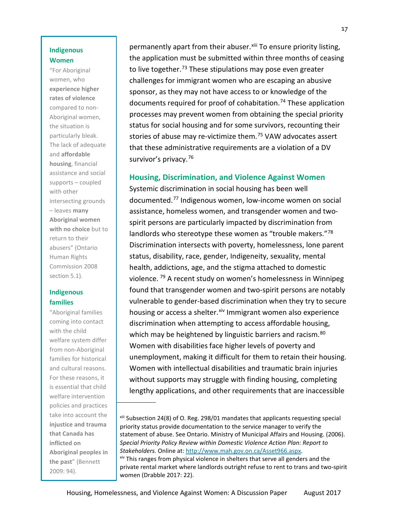# **Indigenous Women**

"For Aboriginal women, who **experience higher rates of violence** compared to non-Aboriginal women, the situation is particularly bleak. The lack of adequate and **affordable housing**, financial assistance and social supports – coupled with other intersecting grounds – leaves **many Aboriginal women with no choice** but to return to their abusers" (Ontario Human Rights Commission 2008 section 5.1).

# **Indigenous families**

<span id="page-17-1"></span> policies and practices "Aboriginal families coming into contact with the child welfare system differ from non-Aboriginal families for historical and cultural reasons. For these reasons, it is essential that child welfare intervention take into account the **injustice and trauma that Canada has inflicted on Aboriginal peoples in the past**" (Bennett 2009: 94).

permanently apart from their abuser.<sup>[xiii](#page-17-1)</sup> To ensure priority listing, the application must be submitted within three months of ceasing to live together.<sup>[73](#page-35-3)</sup> These stipulations may pose even greater challenges for immigrant women who are escaping an abusive sponsor, as they may not have access to or knowledge of the documents required for proof of cohabitation. [74](#page-35-4) These application processes may prevent women from obtaining the special priority status for social housing and for some survivors, recounting their stories of abuse may re-victimize them. [75](#page-35-5) VAW advocates assert that these administrative requirements are a violation of a DV survivor's privacy. [76](#page-35-6)

# <span id="page-17-0"></span>**Housing, Discrimination, and Violence Against Women**

Systemic discrimination in social housing has been well documented. [77](#page-35-7) Indigenous women, low-income women on social assistance, homeless women, and transgender women and twospirit persons are particularly impacted by discrimination from landlords who stereotype these women as "trouble makers."[78](#page-35-8) Discrimination intersects with poverty, homelessness, lone parent status, disability, race, gender, Indigeneity, sexuality, mental health, addictions, age, and the stigma attached to domestic violence. [79](#page-35-9) A recent study on women's homelessness in Winnipeg found that transgender women and two-spirit persons are notably vulnerable to gender-based discrimination when they try to secure housing or access a shelter. <sup>[xiv](#page-17-2)</sup> Immigrant women also experience discrimination when attempting to access affordable housing, which may be heightened by linguistic barriers and racism.<sup>[80](#page-35-10)</sup> Women with disabilities face higher levels of poverty and unemployment, making it difficult for them to retain their housing. Women with intellectual disabilities and traumatic brain injuries without supports may struggle with finding housing, completing lengthy applications, and other requirements that are inaccessible

xiii Subsection 24(8) of O. Reg. 298/01 mandates that applicants requesting special priority status provide documentation to the service manager to verify the statement of abuse. See Ontario. Ministry of Municipal Affairs and Housing. (2006). *Special Priority Policy Review within Domestic Violence Action Plan: Report to Stakeholders.* Online at: [http://www.mah.gov.on.ca/Asset966.aspx.](http://www.mah.gov.on.ca/Asset966.aspx) <sup>xiv</sup> This ranges from physical violence in shelters that serve all genders and the

<span id="page-17-2"></span>private rental market where landlords outright refuse to rent to trans and two-spirit women (Drabble 2017: 22).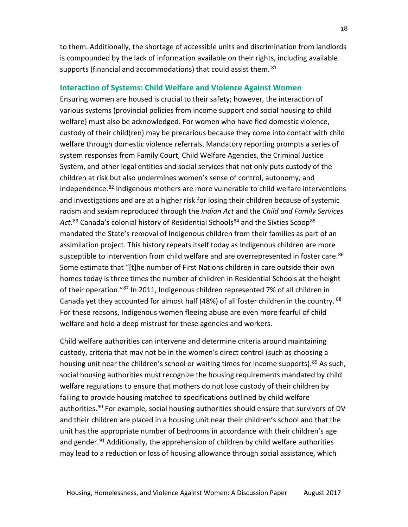to them. Additionally, the shortage of accessible units and discrimination from landlords is compounded by the lack of information available on their rights, including available supports (financial and accommodations) that could assist them. [81](#page-35-11)

### <span id="page-18-0"></span>**Interaction of Systems: Child Welfare and Violence Against Women**

Ensuring women are housed is crucial to their safety; however, the interaction of various systems (provincial policies from income support and social housing to child welfare) must also be acknowledged. For women who have fled domestic violence, custody of their child(ren) may be precarious because they come into contact with child welfare through domestic violence referrals. Mandatory reporting prompts a series of system responses from Family Court, Child Welfare Agencies, the Criminal Justice System, and other legal entities and social services that not only puts custody of the children at risk but also undermines women's sense of control, autonomy, and independence.<sup>[82](#page-35-12)</sup> Indigenous mothers are more vulnerable to child welfare interventions and investigations and are at a higher risk for losing their children because of systemic racism and sexism reproduced through the *Indian Act* and the *Child and Family Services*  Act.<sup>[83](#page-35-13)</sup> Canada's colonial history of Residential Schools<sup>[84](#page-35-14)</sup> and the Sixties Scoop<sup>85</sup> mandated the State's removal of Indigenous children from their families as part of an assimilation project. This history repeats itself today as Indigenous children are more susceptible to intervention from child welfare and are overrepresented in foster care.<sup>[86](#page-35-16)</sup> Some estimate that "[t]he number of First Nations children in care outside their own homes today is three times the number of children in Residential Schools at the height of their operation."[87](#page-35-17) In 2011, Indigenous children represented 7% of all children in Canada yet they accounted for almost half (48%) of all foster children in the country. <sup>[88](#page-35-18)</sup> For these reasons, Indigenous women fleeing abuse are even more fearful of child welfare and hold a deep mistrust for these agencies and workers.

Child welfare authorities can intervene and determine criteria around maintaining custody, criteria that may not be in the women's direct control (such as choosing a housing unit near the children's school or waiting times for income supports).<sup>[89](#page-35-19)</sup> As such, social housing authorities must recognize the housing requirements mandated by child welfare regulations to ensure that mothers do not lose custody of their children by failing to provide housing matched to specifications outlined by child welfare authorities.<sup>[90](#page-35-20)</sup> For example, social housing authorities should ensure that survivors of DV and their children are placed in a housing unit near their children's school and that the unit has the appropriate number of bedrooms in accordance with their children's age and gender. [91](#page-35-21) Additionally, the apprehension of children by child welfare authorities may lead to a reduction or loss of housing allowance through social assistance, which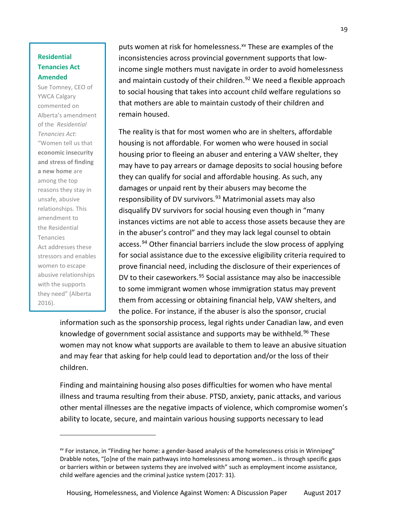# **Residential Tenancies Act Amended**

Sue Tomney, CEO of YWCA Calgary commented on Alberta's amendment of the *Residential Tenancies Act*: "Women tell us that **economic insecurity and stress of finding a new home** are among the top reasons they stay in unsafe, abusive relationships. This amendment to the Residential Tenancies Act addresses these stressors and enables women to escape abusive relationships with the supports they need" (Alberta 2016).

 $\overline{\phantom{0}}$ 

puts women at risk for homelessness.<sup>[xv](#page-19-0)</sup> These are examples of the inconsistencies across provincial government supports that lowincome single mothers must navigate in order to avoid homelessness and maintain custody of their children.<sup>[92](#page-35-22)</sup> We need a flexible approach to social housing that takes into account child welfare regulations so that mothers are able to maintain custody of their children and remain housed.

The reality is that for most women who are in shelters, affordable housing is not affordable. For women who were housed in social housing prior to fleeing an abuser and entering a VAW shelter, they may have to pay arrears or damage deposits to social housing before they can qualify for social and affordable housing. As such, any damages or unpaid rent by their abusers may become the responsibility of DV survivors.<sup>[93](#page-35-23)</sup> Matrimonial assets may also disqualify DV survivors for social housing even though in "many instances victims are not able to access those assets because they are in the abuser's control" and they may lack legal counsel to obtain access. [94](#page-36-0) Other financial barriers include the slow process of applying for social assistance due to the excessive eligibility criteria required to prove financial need, including the disclosure of their experiences of DV to their caseworkers.<sup>[95](#page-36-1)</sup> Social assistance may also be inaccessible to some immigrant women whose immigration status may prevent them from accessing or obtaining financial help, VAW shelters, and the police. For instance, if the abuser is also the sponsor, crucial

information such as the sponsorship process, legal rights under Canadian law, and even knowledge of government social assistance and supports may be withheld.<sup>[96](#page-36-2)</sup> These women may not know what supports are available to them to leave an abusive situation and may fear that asking for help could lead to deportation and/or the loss of their children.

Finding and maintaining housing also poses difficulties for women who have mental illness and trauma resulting from their abuse. PTSD, anxiety, panic attacks, and various other mental illnesses are the negative impacts of violence, which compromise women's ability to locate, secure, and maintain various housing supports necessary to lead

<span id="page-19-0"></span>xv For instance, in "Finding her home: a gender-based analysis of the homelessness crisis in Winnipeg" Drabble notes, "[o]ne of the main pathways into homelessness among women… is through specific gaps or barriers within or between systems they are involved with" such as employment income assistance, child welfare agencies and the criminal justice system (2017: 31).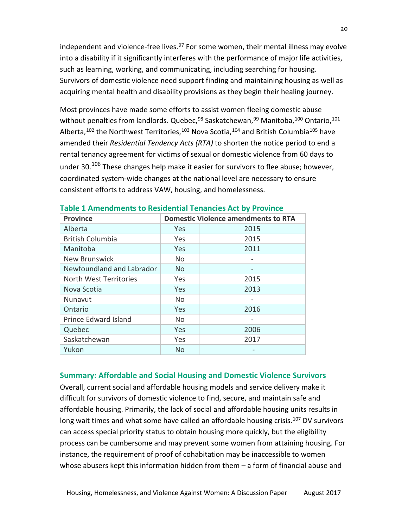independent and violence-free lives.<sup>[97](#page-36-3)</sup> For some women, their mental illness may evolve into a disability if it significantly interferes with the performance of major life activities, such as learning, working, and communicating, including searching for housing. Survivors of domestic violence need support finding and maintaining housing as well as acquiring mental health and disability provisions as they begin their healing journey.

Most provinces have made some efforts to assist women fleeing domestic abuse without penalties from landlords. Quebec,<sup>[98](#page-36-4)</sup> Saskatchewan,<sup>[99](#page-36-5)</sup> Manitoba,<sup>[100](#page-36-6)</sup> Ontario,<sup>[101](#page-36-7)</sup> Alberta,<sup>[102](#page-36-8)</sup> the Northwest Territories,<sup>[103](#page-36-9)</sup> Nova Scotia,<sup>[104](#page-36-10)</sup> and British Columbia<sup>[105](#page-36-11)</sup> have amended their *Residential Tendency Acts (RTA)* to shorten the notice period to end a rental tenancy agreement for victims of sexual or domestic violence from 60 days to under 30.<sup>[106](#page-36-12)</sup> These changes help make it easier for survivors to flee abuse; however, coordinated system-wide changes at the national level are necessary to ensure consistent efforts to address VAW, housing, and homelessness.

| <b>Province</b>           | <b>Domestic Violence amendments to RTA</b> |      |
|---------------------------|--------------------------------------------|------|
| Alberta                   | Yes                                        | 2015 |
| <b>British Columbia</b>   | Yes                                        | 2015 |
| Manitoba                  | Yes                                        | 2011 |
| <b>New Brunswick</b>      | N <sub>o</sub>                             |      |
| Newfoundland and Labrador | No.                                        |      |
| North West Territories    | <b>Yes</b>                                 | 2015 |
| Nova Scotia               | Yes                                        | 2013 |
| Nunavut                   | N <sub>o</sub>                             |      |
| Ontario                   | Yes                                        | 2016 |
| Prince Edward Island      | N <sub>o</sub>                             |      |
| Quebec                    | Yes.                                       | 2006 |
| Saskatchewan              | <b>Yes</b>                                 | 2017 |
| Yukon                     | N <sub>o</sub>                             |      |

## **Table 1 Amendments to Residential Tenancies Act by Province**

# <span id="page-20-0"></span>**Summary: Affordable and Social Housing and Domestic Violence Survivors**

Overall, current social and affordable housing models and service delivery make it difficult for survivors of domestic violence to find, secure, and maintain safe and affordable housing. Primarily, the lack of social and affordable housing units results in long wait times and what some have called an affordable housing crisis.<sup>[107](#page-36-13)</sup> DV survivors can access special priority status to obtain housing more quickly, but the eligibility process can be cumbersome and may prevent some women from attaining housing. For instance, the requirement of proof of cohabitation may be inaccessible to women whose abusers kept this information hidden from them – a form of financial abuse and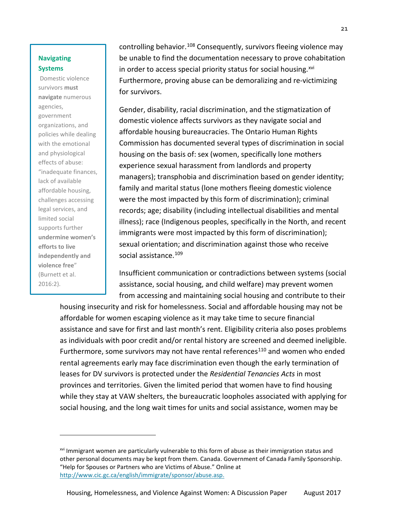# **Navigating Systems**

Domestic violence survivors **must navigate** numerous agencies, government organizations, and policies while dealing with the emotional and physiological effects of abuse: "inadequate finances, lack of available affordable housing, challenges accessing legal services, and limited social supports further **undermine women's efforts to live independently and violence free**" (Burnett et al. 2016:2).

 $\overline{\phantom{0}}$ 

controlling behavior.<sup>[108](#page-36-14)</sup> Consequently, survivors fleeing violence mav be unable to find the documentation necessary to prove cohabitation in order to access special priority status for social housing.<sup>[xvi](#page-21-0)</sup> Furthermore, proving abuse can be demoralizing and re-victimizing for survivors.

Gender, disability, racial discrimination, and the stigmatization of domestic violence affects survivors as they navigate social and affordable housing bureaucracies. The Ontario Human Rights Commission has documented several types of discrimination in social housing on the basis of: sex (women, specifically lone mothers experience sexual harassment from landlords and property managers); transphobia and discrimination based on gender identity; family and marital status (lone mothers fleeing domestic violence were the most impacted by this form of discrimination); criminal records; age; disability (including intellectual disabilities and mental illness); race (Indigenous peoples, specifically in the North, and recent immigrants were most impacted by this form of discrimination); sexual orientation; and discrimination against those who receive social assistance. [109](#page-36-15)

Insufficient communication or contradictions between systems (social assistance, social housing, and child welfare) may prevent women from accessing and maintaining social housing and contribute to their

housing insecurity and risk for homelessness. Social and affordable housing may not be affordable for women escaping violence as it may take time to secure financial assistance and save for first and last month's rent. Eligibility criteria also poses problems as individuals with poor credit and/or rental history are screened and deemed ineligible. Furthermore, some survivors may not have rental references<sup>110</sup> and women who ended rental agreements early may face discrimination even though the early termination of leases for DV survivors is protected under the *Residential Tenancies Acts* in most provinces and territories. Given the limited period that women have to find housing while they stay at VAW shelters, the bureaucratic loopholes associated with applying for social housing, and the long wait times for units and social assistance, women may be

<span id="page-21-0"></span><sup>&</sup>lt;sup>xvi</sup> Immigrant women are particularly vulnerable to this form of abuse as their immigration status and other personal documents may be kept from them. Canada. Government of Canada Family Sponsorship. "Help for Spouses or Partners who are Victims of Abuse." Online at [http://www.cic.gc.ca/english/immigrate/sponsor/abuse.asp.](http://www.cic.gc.ca/english/immigrate/sponsor/abuse.asp)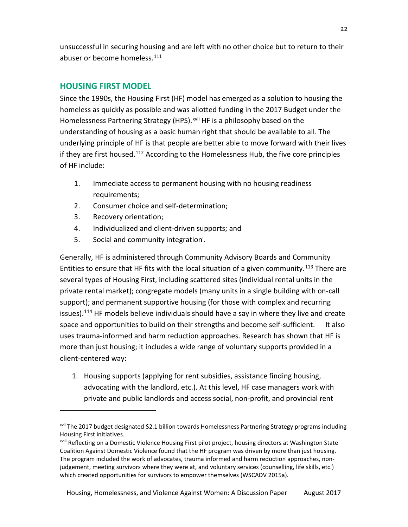unsuccessful in securing housing and are left with no other choice but to return to their abuser or become homeless.<sup>[111](#page-36-17)</sup>

# <span id="page-22-0"></span>**HOUSING FIRST MODEL**

Since the 1990s, the Housing First (HF) model has emerged as a solution to housing the homeless as quickly as possible and was allotted funding in the 2017 Budget under the Homelessness Partnering Strategy (HPS).<sup>[xvii](#page-22-1)</sup> HF is a philosophy based on the understanding of housing as a basic human right that should be available to all. The underlying principle of HF is that people are better able to move forward with their lives if they are first housed.<sup>[112](#page-36-18)</sup> According to the Homelessness Hub, the five core principles of HF include:

- 1. Immediate access to permanent housing with no housing readiness requirements;
- 2. Consumer choice and self-determination;
- 3. Recovery orientation;

 $\overline{\phantom{a}}$ 

- 4. Individualized and client-driven supports; and
- 5. Social and community integration<sup>i</sup>.

Generally, HF is administered through Community Advisory Boards and Community Entities to ensure that HF fits with the local situation of a given community.<sup>[113](#page-36-19)</sup> There are space and opportunities to build on their strengths and become self-sufficient. It also several types of Housing First, including scattered sites (individual rental units in the private rental market); congregate models (many units in a single building with on-call support); and permanent supportive housing (for those with complex and recurring issues).<sup>[114](#page-36-20)</sup> HF models believe individuals should have a say in where they live and create uses trauma-informed and harm reduction approaches. Research has shown that HF is more than just housing; it includes a wide range of voluntary supports provided in a client-centered way:

1. Housing supports (applying for rent subsidies, assistance finding housing, advocating with the landlord, etc.). At this level, HF case managers work with private and public landlords and access social, non-profit, and provincial rent

<span id="page-22-1"></span>xvii The 2017 budget designated \$2.1 billion towards Homelessness Partnering Strategy programs including Housing First initiatives.

xviii Reflecting on a Domestic Violence Housing First pilot project, housing directors at Washington State Coalition Against Domestic Violence found that the HF program was driven by more than just housing. The program included the work of advocates, trauma informed and harm reduction approaches, nonjudgement, meeting survivors where they were at, and voluntary services (counselling, life skills, etc.) which created opportunities for survivors to empower themselves (WSCADV 2015a).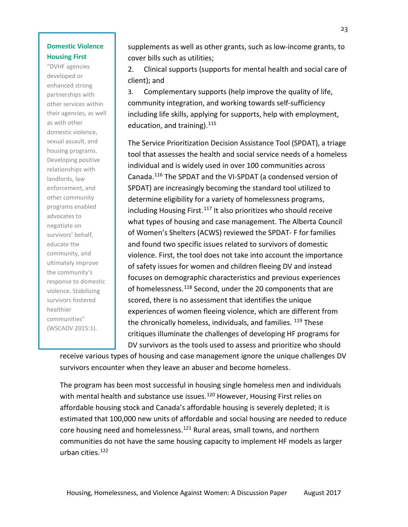# **Domestic Violence Housing First**

"DVHF agencies developed or enhanced strong partnerships with other services within their agencies, as well as with other domestic violence, sexual assault, and housing programs. Developing positive relationships with landlords, law enforcement, and other community programs enabled advocates to negotiate on survivors' behalf, educate the community, and ultimately improve the community's response to domestic violence. Stabilizing survivors fostered healthier communities" (WSCADV 2015:1).

supplements as well as other grants, such as low-income grants, to cover bills such as utilities;

2. Clinical supports (supports for mental health and social care of client); and

3. Complementary supports (help improve the quality of life, community integration, and working towards self-sufficiency including life skills, applying for supports, help with employment, education, and training).  $115$ 

The Service Prioritization Decision Assistance Tool (SPDAT), a triage tool that assesses the health and social service needs of a homeless individual and is widely used in over 100 communities across Canada.[116](#page-36-22) The SPDAT and the VI-SPDAT (a condensed version of SPDAT) are increasingly becoming the standard tool utilized to determine eligibility for a variety of homelessness programs, including Housing First.<sup>[117](#page-37-0)</sup> It also prioritizes who should receive what types of housing and case management. The Alberta Council of Women's Shelters (ACWS) reviewed the SPDAT- F for families and found two specific issues related to survivors of domestic violence. First, the tool does not take into account the importance of safety issues for women and children fleeing DV and instead focuses on demographic characteristics and previous experiences of homelessness.<sup>[118](#page-37-1)</sup> Second, under the 20 components that are scored, there is no assessment that identifies the unique experiences of women fleeing violence, which are different from the chronically homeless, individuals, and families. <sup>[119](#page-37-2)</sup> These critiques illuminate the challenges of developing HF programs for DV survivors as the tools used to assess and prioritize who should

receive various types of housing and case management ignore the unique challenges DV survivors encounter when they leave an abuser and become homeless.

The program has been most successful in housing single homeless men and individuals with mental health and substance use issues.<sup>[120](#page-37-3)</sup> However, Housing First relies on affordable housing stock and Canada's affordable housing is severely depleted; it is estimated that 100,000 new units of affordable and social housing are needed to reduce core housing need and homelessness.<sup>[121](#page-37-4)</sup> Rural areas, small towns, and northern communities do not have the same housing capacity to implement HF models as larger urban cities. [122](#page-37-5)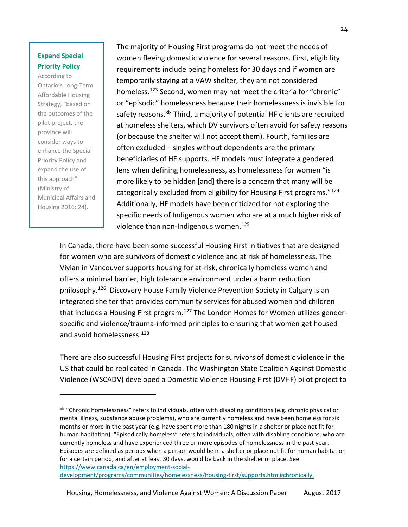# **Expand Special Priority Policy**

According to Ontario's Long-Term Affordable Housing Strategy, "based on the outcomes of the pilot project, the province will consider ways to enhance the Special Priority Policy and expand the use of this approach" (Ministry of Municipal Affairs and Housing 2016: 24).

 $\overline{\phantom{0}}$ 

The majority of Housing First programs do not meet the needs of women fleeing domestic violence for several reasons. First, eligibility requirements include being homeless for 30 days and if women are temporarily staying at a VAW shelter, they are not considered homeless.<sup>[123](#page-37-6)</sup> Second, women may not meet the criteria for "chronic" or "episodic" homelessness because their homelessness is invisible for safety reasons. <sup>[xix](#page-24-0)</sup> Third, a majority of potential HF clients are recruited at homeless shelters, which DV survivors often avoid for safety reasons (or because the shelter will not accept them). Fourth, families are often excluded – singles without dependents are the primary beneficiaries of HF supports. HF models must integrate a gendered lens when defining homelessness, as homelessness for women "is more likely to be hidden [and] there is a concern that many will be categorically excluded from eligibility for Housing First programs."<sup>[124](#page-37-7)</sup> Additionally, HF models have been criticized for not exploring the specific needs of Indigenous women who are at a much higher risk of violence than non-Indigenous women. [125](#page-37-8)

In Canada, there have been some successful Housing First initiatives that are designed for women who are survivors of domestic violence and at risk of homelessness. The Vivian in Vancouver supports housing for at-risk, chronically homeless women and offers a minimal barrier, high tolerance environment under a harm reduction philosophy. [126](#page-37-9) Discovery House Family Violence Prevention Society in Calgary is an integrated shelter that provides community services for abused women and children that includes a Housing First program.<sup>[127](#page-37-10)</sup> The London Homes for Women utilizes genderspecific and violence/trauma-informed principles to ensuring that women get housed and avoid homelessness.<sup>[128](#page-37-11)</sup>

There are also successful Housing First projects for survivors of domestic violence in the US that could be replicated in Canada. The Washington State Coalition Against Domestic Violence (WSCADV) developed a Domestic Violence Housing First (DVHF) pilot project to

[development/programs/communities/homelessness/housing-first/supports.html#chronically.](https://www.canada.ca/en/employment-social-development/programs/communities/homelessness/housing-first/supports.html#chronically)

<span id="page-24-0"></span>xix "Chronic homelessness" refers to individuals, often with disabling conditions (e.g. chronic physical or mental illness, substance abuse problems), who are currently homeless and have been homeless for six months or more in the past year (e.g. have spent more than 180 nights in a shelter or place not fit for human habitation). "Episodically homeless" refers to individuals, often with disabling conditions, who are currently homeless and have experienced three or more episodes of homelessness in the past year. Episodes are defined as periods when a person would be in a shelter or place not fit for human habitation for a certain period, and after at least 30 days, would be back in the shelter or place. See [https://www.canada.ca/en/employment-social-](https://www.canada.ca/en/employment-social-development/programs/communities/homelessness/housing-first/supports.html#chronically)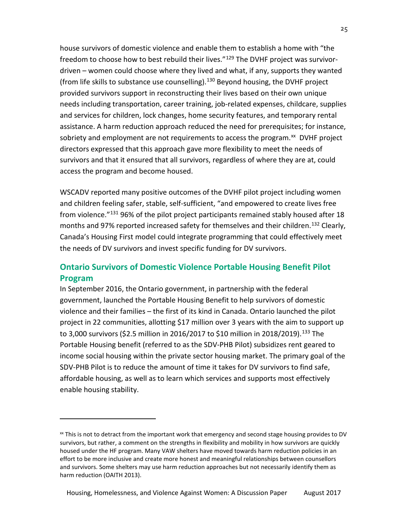house survivors of domestic violence and enable them to establish a home with "the freedom to choose how to best rebuild their lives."[129](#page-37-12) The DVHF project was survivordriven – women could choose where they lived and what, if any, supports they wanted (from life skills to substance use counselling). [130](#page-37-13) Beyond housing, the DVHF project provided survivors support in reconstructing their lives based on their own unique needs including transportation, career training, job-related expenses, childcare, supplies and services for children, lock changes, home security features, and temporary rental assistance. A harm reduction approach reduced the need for prerequisites; for instance, sobriety and employment are not requirements to access the program.<sup>[xx](#page-25-1)</sup> DVHF project directors expressed that this approach gave more flexibility to meet the needs of survivors and that it ensured that all survivors, regardless of where they are at, could access the program and become housed.

WSCADV reported many positive outcomes of the DVHF pilot project including women and children feeling safer, stable, self-sufficient, "and empowered to create lives free from violence."<sup>[131](#page-37-14)</sup> 96% of the pilot project participants remained stably housed after 18 months and 97% reported increased safety for themselves and their children.<sup>[132](#page-37-15)</sup> Clearly, Canada's Housing First model could integrate programming that could effectively meet the needs of DV survivors and invest specific funding for DV survivors.

# <span id="page-25-0"></span>**Ontario Survivors of Domestic Violence Portable Housing Benefit Pilot Program**

In September 2016, the Ontario government, in partnership with the federal government, launched the Portable Housing Benefit to help survivors of domestic violence and their families – the first of its kind in Canada. Ontario launched the pilot project in 22 communities, allotting \$17 million over 3 years with the aim to support up to 3,000 survivors (\$2.5 million in 2016/2017 to \$10 million in 2018/2019). [133](#page-37-16) The Portable Housing benefit (referred to as the SDV-PHB Pilot) subsidizes rent geared to income social housing within the private sector housing market. The primary goal of the SDV-PHB Pilot is to reduce the amount of time it takes for DV survivors to find safe, affordable housing, as well as to learn which services and supports most effectively enable housing stability.

 $\overline{\phantom{0}}$ 

<span id="page-25-1"></span>xx This is not to detract from the important work that emergency and second stage housing provides to DV survivors, but rather, a comment on the strengths in flexibility and mobility in how survivors are quickly housed under the HF program. Many VAW shelters have moved towards harm reduction policies in an effort to be more inclusive and create more honest and meaningful relationships between counsellors and survivors. Some shelters may use harm reduction approaches but not necessarily identify them as harm reduction (OAITH 2013).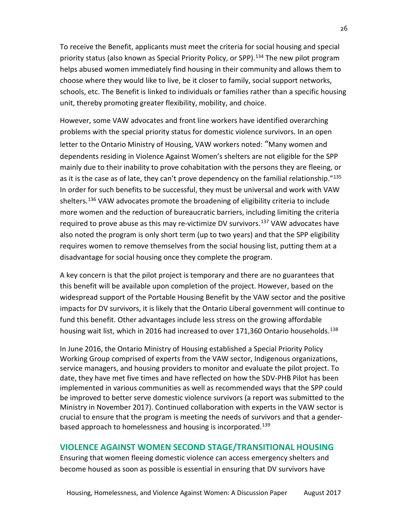To receive the Benefit, applicants must meet the criteria for social housing and special priority status (also known as Special Priority Policy, or SPP). [134](#page-37-17) The new pilot program helps abused women immediately find housing in their community and allows them to choose where they would like to live, be it closer to family, social support networks, schools, etc. The Benefit is linked to individuals or families rather than a specific housing unit, thereby promoting greater flexibility, mobility, and choice.

However, some VAW advocates and front line workers have identified overarching problems with the special priority status for domestic violence survivors. In an open letter to the Ontario Ministry of Housing, VAW workers noted: "Many women and dependents residing in Violence Against Women's shelters are not eligible for the SPP mainly due to their inability to prove cohabitation with the persons they are fleeing, or as it is the case as of late, they can't prove dependency on the familial relationship."<sup>[135](#page-38-0)</sup> In order for such benefits to be successful, they must be universal and work with VAW shelters. [136](#page-38-1) VAW advocates promote the broadening of eligibility criteria to include more women and the reduction of bureaucratic barriers, including limiting the criteria required to prove abuse as this may re-victimize DV survivors. [137](#page-38-2) VAW advocates have also noted the program is only short term (up to two years) and that the SPP eligibility requires women to remove themselves from the social housing list, putting them at a disadvantage for social housing once they complete the program.

A key concern is that the pilot project is temporary and there are no guarantees that this benefit will be available upon completion of the project. However, based on the widespread support of the Portable Housing Benefit by the VAW sector and the positive impacts for DV survivors, it is likely that the Ontario Liberal government will continue to fund this benefit. Other advantages include less stress on the growing affordable housing wait list, which in 2016 had increased to over 171,360 Ontario households.<sup>[138](#page-38-3)</sup>

In June 2016, the Ontario Ministry of Housing established a Special Priority Policy Working Group comprised of experts from the VAW sector, Indigenous organizations, service managers, and housing providers to monitor and evaluate the pilot project. To date, they have met five times and have reflected on how the SDV-PHB Pilot has been implemented in various communities as well as recommended ways that the SPP could be improved to better serve domestic violence survivors (a report was submitted to the Ministry in November 2017). Continued collaboration with experts in the VAW sector is crucial to ensure that the program is meeting the needs of survivors and that a gender-based approach to homelessness and housing is incorporated.<sup>[139](#page-38-4)</sup>

# <span id="page-26-0"></span>**VIOLENCE AGAINST WOMEN SECOND STAGE/TRANSITIONAL HOUSING**

Ensuring that women fleeing domestic violence can access emergency shelters and become housed as soon as possible is essential in ensuring that DV survivors have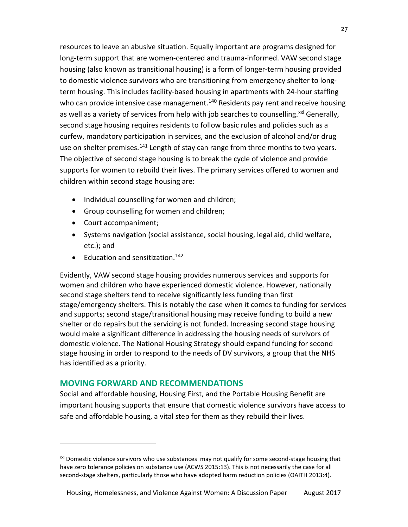resources to leave an abusive situation. Equally important are programs designed for long-term support that are women-centered and trauma-informed. VAW second stage housing (also known as transitional housing) is a form of longer-term housing provided to domestic violence survivors who are transitioning from emergency shelter to longterm housing. This includes facility-based housing in apartments with 24-hour staffing who can provide intensive case management.<sup>[140](#page-38-5)</sup> Residents pay rent and receive housing as well as a variety of services from help with job searches to counselling.<sup>[xxi](#page-27-1)</sup> Generally, second stage housing requires residents to follow basic rules and policies such as a curfew, mandatory participation in services, and the exclusion of alcohol and/or drug use on shelter premises.<sup>[141](#page-38-6)</sup> Length of stay can range from three months to two years. The objective of second stage housing is to break the cycle of violence and provide supports for women to rebuild their lives. The primary services offered to women and children within second stage housing are:

- Individual counselling for women and children;
- Group counselling for women and children;
- Court accompaniment;

 $\overline{\phantom{a}}$ 

- Systems navigation (social assistance, social housing, legal aid, child welfare, etc.); and
- Education and sensitization.<sup>[142](#page-38-7)</sup>

Evidently, VAW second stage housing provides numerous services and supports for women and children who have experienced domestic violence. However, nationally second stage shelters tend to receive significantly less funding than first stage/emergency shelters. This is notably the case when it comes to funding for services and supports; second stage/transitional housing may receive funding to build a new shelter or do repairs but the servicing is not funded. Increasing second stage housing would make a significant difference in addressing the housing needs of survivors of domestic violence. The National Housing Strategy should expand funding for second stage housing in order to respond to the needs of DV survivors, a group that the NHS has identified as a priority.

# <span id="page-27-0"></span>**MOVING FORWARD AND RECOMMENDATIONS**

Social and affordable housing, Housing First, and the Portable Housing Benefit are important housing supports that ensure that domestic violence survivors have access to safe and affordable housing, a vital step for them as they rebuild their lives.

<span id="page-27-1"></span><sup>&</sup>lt;sup>xxi</sup> Domestic violence survivors who use substances may not qualify for some second-stage housing that have zero tolerance policies on substance use (ACWS 2015:13). This is not necessarily the case for all second-stage shelters, particularly those who have adopted harm reduction policies (OAITH 2013:4).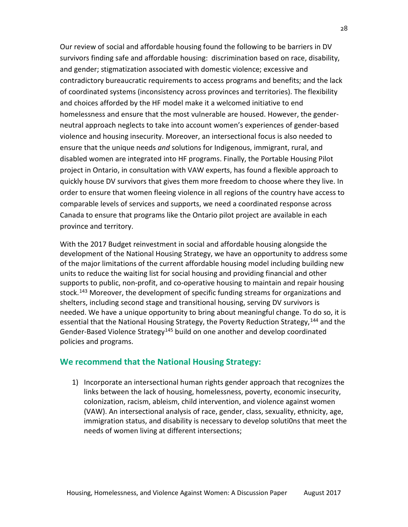Our review of social and affordable housing found the following to be barriers in DV survivors finding safe and affordable housing: discrimination based on race, disability, and gender; stigmatization associated with domestic violence; excessive and contradictory bureaucratic requirements to access programs and benefits; and the lack of coordinated systems (inconsistency across provinces and territories). The flexibility and choices afforded by the HF model make it a welcomed initiative to end homelessness and ensure that the most vulnerable are housed. However, the genderneutral approach neglects to take into account women's experiences of gender-based violence and housing insecurity. Moreover, an intersectional focus is also needed to ensure that the unique needs *and* solutions for Indigenous, immigrant, rural, and disabled women are integrated into HF programs. Finally, the Portable Housing Pilot project in Ontario, in consultation with VAW experts, has found a flexible approach to quickly house DV survivors that gives them more freedom to choose where they live. In order to ensure that women fleeing violence in all regions of the country have access to comparable levels of services and supports, we need a coordinated response across Canada to ensure that programs like the Ontario pilot project are available in each province and territory.

With the 2017 Budget reinvestment in social and affordable housing alongside the development of the National Housing Strategy, we have an opportunity to address some of the major limitations of the current affordable housing model including building new units to reduce the waiting list for social housing and providing financial and other supports to public, non-profit, and co-operative housing to maintain and repair housing stock.<sup>[143](#page-38-8)</sup> Moreover, the development of specific funding streams for organizations and shelters, including second stage and transitional housing, serving DV survivors is needed. We have a unique opportunity to bring about meaningful change. To do so, it is essential that the National Housing Strategy, the Poverty Reduction Strategy,<sup>[144](#page-38-9)</sup> and the Gender-Based Violence Strategy<sup>[145](#page-38-10)</sup> build on one another and develop coordinated policies and programs.

# **We recommend that the National Housing Strategy:**

1) Incorporate an intersectional human rights gender approach that recognizes the links between the lack of housing, homelessness, poverty, economic insecurity, colonization, racism, ableism, child intervention, and violence against women (VAW). An intersectional analysis of race, gender, class, sexuality, ethnicity, age, immigration status, and disability is necessary to develop soluti0ns that meet the needs of women living at different intersections;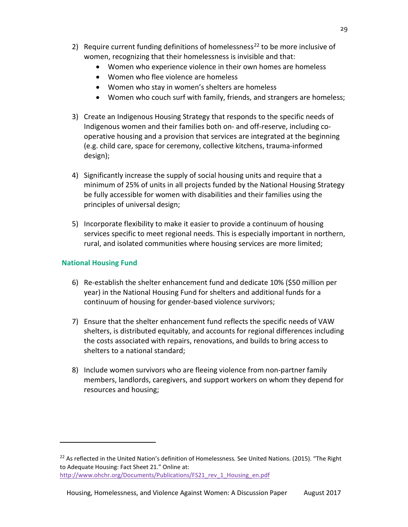- 2) Require current funding definitions of homelessness<sup>[22](#page-29-0)</sup> to be more inclusive of women, recognizing that their homelessness is invisible and that:
	- Women who experience violence in their own homes are homeless
	- Women who flee violence are homeless
	- Women who stay in women's shelters are homeless
	- Women who couch surf with family, friends, and strangers are homeless;
- 3) Create an Indigenous Housing Strategy that responds to the specific needs of Indigenous women and their families both on- and off-reserve, including cooperative housing and a provision that services are integrated at the beginning (e.g. child care, space for ceremony, collective kitchens, trauma-informed design);
- 4) Significantly increase the supply of social housing units and require that a minimum of 25% of units in all projects funded by the National Housing Strategy be fully accessible for women with disabilities and their families using the principles of universal design;
- 5) Incorporate flexibility to make it easier to provide a continuum of housing services specific to meet regional needs. This is especially important in northern, rural, and isolated communities where housing services are more limited;

# **National Housing Fund**

 $\overline{\phantom{a}}$ 

- 6) Re-establish the shelter enhancement fund and dedicate 10% (\$50 million per year) in the National Housing Fund for shelters and additional funds for a continuum of housing for gender-based violence survivors;
- 7) Ensure that the shelter enhancement fund reflects the specific needs of VAW shelters, is distributed equitably, and accounts for regional differences including the costs associated with repairs, renovations, and builds to bring access to shelters to a national standard;
- 8) Include women survivors who are fleeing violence from non-partner family members, landlords, caregivers, and support workers on whom they depend for resources and housing;

<span id="page-29-0"></span><sup>22</sup> As reflected in the United Nation's definition of Homelessness*.* See United Nations. (2015). "The Right to Adequate Housing: Fact Sheet 21." Online at: [http://www.ohchr.org/Documents/Publications/FS21\\_rev\\_1\\_Housing\\_en.pdf](http://www.ohchr.org/Documents/Publications/FS21_rev_1_Housing_en.pdf)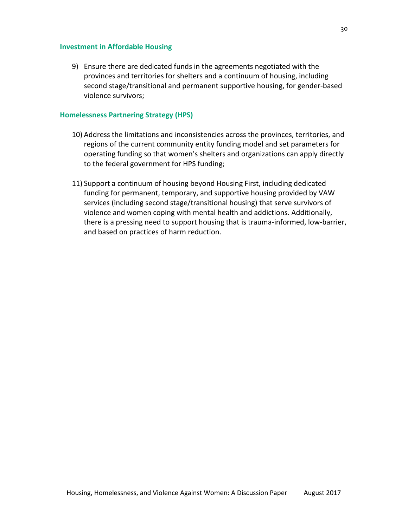### **Investment in Affordable Housing**

9) Ensure there are dedicated funds in the agreements negotiated with the provinces and territories for shelters and a continuum of housing, including second stage/transitional and permanent supportive housing, for gender-based violence survivors;

# **Homelessness Partnering Strategy (HPS)**

- 10) Address the limitations and inconsistencies across the provinces, territories, and regions of the current community entity funding model and set parameters for operating funding so that women's shelters and organizations can apply directly to the federal government for HPS funding;
- 11) Support a continuum of housing beyond Housing First, including dedicated funding for permanent, temporary, and supportive housing provided by VAW services (including second stage/transitional housing) that serve survivors of violence and women coping with mental health and addictions. Additionally, there is a pressing need to support housing that is trauma-informed, low-barrier, and based on practices of harm reduction.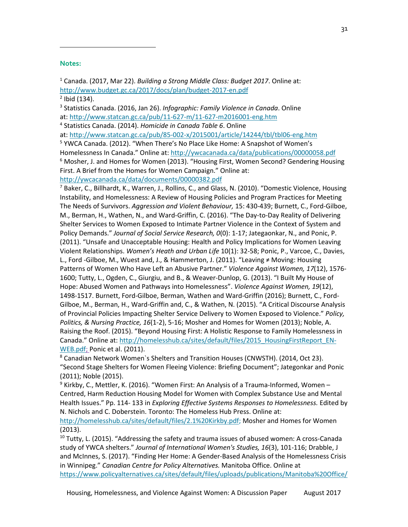### <span id="page-31-0"></span>**Notes:**

 $\overline{\phantom{a}}$ 

<sup>1</sup> Canada. (2017, Mar 22). *Building a Strong Middle Class: Budget 2017*. Online at: <http://www.budget.gc.ca/2017/docs/plan/budget-2017-en.pdf>  $2$  Ibid (134).

<span id="page-31-2"></span><span id="page-31-1"></span><sup>3</sup> Statistics Canada. (2016, Jan 26). *Infographic: Family Violence in Canada*. Online at: <http://www.statcan.gc.ca/pub/11-627-m/11-627-m2016001-eng.htm>

<span id="page-31-3"></span><sup>4</sup> Statistics Canada. (2014). *Homicide in Canada Table 6*. Online

at: <http://www.statcan.gc.ca/pub/85-002-x/2015001/article/14244/tbl/tbl06-eng.htm>

<span id="page-31-5"></span><span id="page-31-4"></span><sup>5</sup> YWCA Canada. (2012). "When There's No Place Like Home: A Snapshot of Women's Homelessness In Canada." Online at:<http://ywcacanada.ca/data/publications/00000058.pdf>  $6$  Mosher, J. and Homes for Women (2013). "Housing First, Women Second? Gendering Housing First. A Brief from the Homes for Women Campaign." Online at: <http://ywcacanada.ca/data/documents/00000382.pdf>

<span id="page-31-6"></span><sup>7</sup> Baker, C., Billhardt, K., Warren, J., Rollins, C., and Glass, N. (2010). "Domestic Violence, Housing Instability, and Homelessness: A Review of Housing Policies and Program Practices for Meeting The Needs of Survivors. *Aggression and Violent Behaviour,* 15: 430-439; Burnett, C., Ford-Gilboe, M., Berman, H., Wathen, N., and Ward-Griffin, C. (2016). "The Day-to-Day Reality of Delivering Shelter Services to Women Exposed to Intimate Partner Violence in the Context of System and Policy Demands." *Journal of Social Service Research, 0*(0): 1-17; Jategaonkar, N., and Ponic, P. (2011). "Unsafe and Unacceptable Housing: Health and Policy Implications for Women Leaving Violent Relationships. *Women's Heath and Urban Life* 10(1): 32-58; Ponic, P., Varcoe, C., Davies, L., Ford -Gilboe, M., Wuest and, J., & Hammerton, J. (2011). "Leaving ≠ Moving: Housing Patterns of Women Who Have Left an Abusive Partner." *Violence Against Women, 17*(12), 1576- 1600; Tutty, L., Ogden, C., Giurgiu, and B., & Weaver-Dunlop, G. (2013). "I Built My House of Hope: Abused Women and Pathways into Homelessness". *Violence Against Women, 19*(12), 1498-1517. Burnett, Ford-Gilboe, Berman, Wathen and Ward-Griffin (2016); Burnett, C., Ford-Gilboe, M., Berman, H., Ward-Griffin and, C., & Wathen, N. (2015). "A Critical Discourse Analysis of Provincial Policies Impacting Shelter Service Delivery to Women Exposed to Violence." *Policy, Politics, & Nursing Practice, 16*(1-2), 5-16; Mosher and Homes for Women (2013); Noble, A. Raising the Roof. (2015). "Beyond Housing First: A Holistic Response to Family Homelessness in Canada." Online at: [http://homelesshub.ca/sites/default/files/2015\\_HousingFirstReport\\_EN-](http://homelesshub.ca/sites/default/files/2015_HousingFirstReport_EN-WEB.pdf)[WEB.pdf;](http://homelesshub.ca/sites/default/files/2015_HousingFirstReport_EN-WEB.pdf) Ponic et al. (2011).

<span id="page-31-7"></span> $8$  Canadian Network Women's Shelters and Transition Houses (CNWSTH). (2014, Oct 23). "Second Stage Shelters for Women Fleeing Violence: Briefing Document"; Jategonkar and Ponic (2011); Noble (2015).

<span id="page-31-8"></span> $9$  Kirkby, C., Mettler, K. (2016). "Women First: An Analysis of a Trauma-Informed, Women – Centred, Harm Reduction Housing Model for Women with Complex Substance Use and Mental Health Issues." Pp. 114- 133 in *Exploring Effective Systems Responses to Homelessness.* Edited by N. Nichols and C. Doberstein. Toronto: The Homeless Hub Press. Online at:

[http://homelesshub.ca/sites/default/files/2.1%20Kirkby.pdf;](http://homelesshub.ca/sites/default/files/2.1%20Kirkby.pdf) Mosher and Homes for Women (2013).<br><sup>10</sup> Tutty, L. (2015). "Addressing the safety and trauma issues of abused women: A cross-Canada

<span id="page-31-9"></span>study of YWCA shelters." *Journal of International Women's Studies, 16*(3), 101-116; Drabble, J and McInnes, S. (2017). "Finding Her Home: A Gender-Based Analysis of the Homelessness Crisis in Winnipeg." *Canadian Centre for Policy Alternatives.* Manitoba Office. Online at [https://www.policyalternatives.ca/sites/default/files/uploads/publications/Manitoba%20Office/](https://www.policyalternatives.ca/sites/default/files/uploads/publications/Manitoba%20Office/2017/03/Finding_Her_Home_%20low-res.pdf)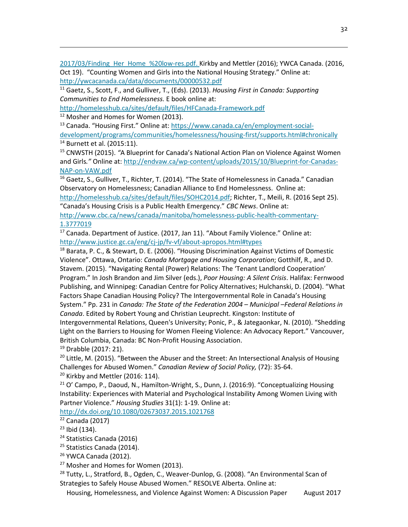2017/03/Finding Her Home %20low-res.pdf. Kirkby and Mettler (2016); YWCA Canada. (2016, Oct 19). "Counting Women and Girls into the National Housing Strategy." Online at: <http://ywcacanada.ca/data/documents/00000532.pdf>

<span id="page-32-0"></span><sup>11</sup> Gaetz, S., Scott, F., and Gulliver, T., (Eds). (2013). *Housing First in Canada: Supporting Communities to End Homelessness.* E book online at:

<http://homelesshub.ca/sites/default/files/HFCanada-Framework.pdf>

<span id="page-32-1"></span><sup>12</sup> Mosher and Homes for Women (2013).

 $\overline{\phantom{a}}$ 

<span id="page-32-2"></span><sup>13</sup> Canada. "Housing First." Online at: [https://www.canada.ca/en/employment-social](https://www.canada.ca/en/employment-social-development/programs/communities/homelessness/housing-first/supports.html#chronically)[development/programs/communities/homelessness/housing-first/supports.html#chronically](https://www.canada.ca/en/employment-social-development/programs/communities/homelessness/housing-first/supports.html#chronically) <sup>14</sup> Burnett et al. (2015:11).

<span id="page-32-4"></span><span id="page-32-3"></span><sup>15</sup> CNWSTH (2015). *"*A Blueprint for Canada's National Action Plan on Violence Against Women and Girls*."* Online at[: http://endvaw.ca/wp-content/uploads/2015/10/Blueprint-for-Canadas-](http://endvaw.ca/wp-content/uploads/2015/10/Blueprint-for-Canadas-NAP-on-VAW.pdf)[NAP-on-VAW.pdf](http://endvaw.ca/wp-content/uploads/2015/10/Blueprint-for-Canadas-NAP-on-VAW.pdf)

<span id="page-32-5"></span><sup>16</sup> Gaetz, S., Gulliver, T., Richter, T. (2014). "The State of Homelessness in Canada." Canadian Observatory on Homelessness; Canadian Alliance to End Homelessness. Online at: [http://homelesshub.ca/sites/default/files/SOHC2014.pdf;](http://homelesshub.ca/sites/default/files/SOHC2014.pdf) Richter, T., Meili, R. (2016 Sept 25).

"Canada's Housing Crisis is a Public Health Emergency." *CBC News*. Online at:

[http://www.cbc.ca/news/canada/manitoba/homelessness-public-health-commentary-](http://www.cbc.ca/news/canada/manitoba/homelessness-public-health-commentary-1.3777019)[1.3777019](http://www.cbc.ca/news/canada/manitoba/homelessness-public-health-commentary-1.3777019)

<span id="page-32-6"></span> $17$  Canada. Department of Justice. (2017, Jan 11). "About Family Violence." Online at: http://www.justice.gc.ca/eng/cj-jp/fv-vf/about-apropos.html#types<br><sup>18</sup> Barata, P. C., & Stewart, D. E. (2006). "Housing Discrimination Against Victims of Domestic

<span id="page-32-7"></span>Violence". Ottawa, Ontario: *Canada Mortgage and Housing Corporation*; Gotthilf, R., and D. Stavem. (2015). "Navigating Rental (Power) Relations: The 'Tenant Landlord Cooperation' Program." In Josh Brandon and Jim Silver (eds.), *Poor Housing: A Silent Crisis*. Halifax: Fernwood Publishing, and Winnipeg: Canadian Centre for Policy Alternatives; Hulchanski, D. (2004). "What Factors Shape Canadian Housing Policy? The Intergovernmental Role in Canada's Housing System." Pp. 231 in *Canada: The State of the Federation 2004 – Municipal –Federal Relations in Canada*. Edited by Robert Young and Christian Leuprecht. Kingston: Institute of Intergovernmental Relations, Queen's University; Ponic, P., & Jategaonkar, N. (2010). "Shedding Light on the Barriers to Housing for Women Fleeing Violence: An Advocacy Report." Vancouver, British Columbia, Canada: BC Non-Profit Housing Association. <sup>19</sup> Drabble (2017: 21).

<span id="page-32-8"></span> $20$  Little, M. (2015). "Between the Abuser and the Street: An Intersectional Analysis of Housing

<span id="page-32-9"></span>Challenges for Abused Women." *Canadian Review of Social Policy,* (72): 35-64.<br><sup>20</sup> Kirkby and Mettler (2016: 114).

<span id="page-32-10"></span> $21$  O' Campo, P., Daoud, N., Hamilton-Wright, S., Dunn, J. (2016:9). "Conceptualizing Housing Instability: Experiences with Material and Psychological Instability Among Women Living with Partner Violence." *Housing Studies* 31(1): 1-19*.* Online at:

<http://dx.doi.org/10.1080/02673037.2015.1021768>

<span id="page-32-11"></span> $22$  Canada (2017)

<span id="page-32-12"></span> $23$  Ibid (134).

<span id="page-32-13"></span><sup>24</sup> Statistics Canada (2016)

<span id="page-32-14"></span><sup>25</sup> Statistics Canada (2014).

<span id="page-32-15"></span> $26$  YWCA Canada (2012).

<span id="page-32-16"></span><sup>27</sup> Mosher and Homes for Women (2013).

<span id="page-32-17"></span><sup>28</sup> Tutty, L., Stratford, B., Ogden, C., Weaver-Dunlop, G. (2008). "An Environmental Scan of Strategies to Safely House Abused Women." RESOLVE Alberta. Online at:

Housing, Homelessness, and Violence Against Women: A Discussion Paper August 2017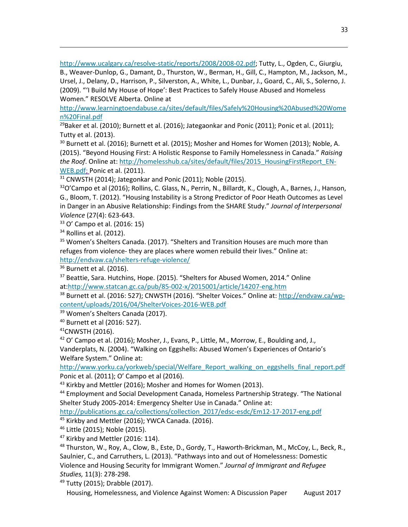[http://www.ucalgary.ca/resolve-static/reports/2008/2008-02.pdf;](http://www.ucalgary.ca/resolve-static/reports/2008/2008-02.pdf) Tutty, L., Ogden, C., Giurgiu,

B., Weaver-Dunlop, G., Damant, D., Thurston, W., Berman, H., Gill, C., Hampton, M., Jackson, M., Ursel, J., Delany, D., Harrison, P., Silverston, A., White, L., Dunbar, J., Goard, C., Ali, S., Solerno, J. (2009). "'I Build My House of Hope': Best Practices to Safely House Abused and Homeless Women." RESOLVE Alberta. Online at

[http://www.learningtoendabuse.ca/sites/default/files/Safely%20Housing%20Abused%20Wome](http://www.learningtoendabuse.ca/sites/default/files/Safely%20Housing%20Abused%20Women%20Final.pdf) [n%20Final.pdf](http://www.learningtoendabuse.ca/sites/default/files/Safely%20Housing%20Abused%20Women%20Final.pdf)

<span id="page-33-0"></span><sup>29</sup>Baker et al. (2010); Burnett et al. (2016); Jategaonkar and Ponic (2011); Ponic et al. (2011); Tutty et al. (2013).

<span id="page-33-1"></span> $30$  Burnett et al. (2016); Burnett et al. (2015); Mosher and Homes for Women (2013); Noble, A. (2015). "Beyond Housing First: A Holistic Response to Family Homelessness in Canada." *Raising the Roof*. Online at: [http://homelesshub.ca/sites/default/files/2015\\_HousingFirstReport\\_EN-](http://homelesshub.ca/sites/default/files/2015_HousingFirstReport_EN-WEB.pdf)[WEB.pdf;](http://homelesshub.ca/sites/default/files/2015_HousingFirstReport_EN-WEB.pdf) Ponic et al. (2011).

<span id="page-33-2"></span><sup>31</sup> CNWSTH (2014); Jategonkar and Ponic (2011); Noble (2015).

<span id="page-33-3"></span> $32$ O'Campo et al (2016); Rollins, C. Glass, N., Perrin, N., Billardt, K., Clough, A., Barnes, J., Hanson, G., Bloom, T. (2012). "Housing Instability is a Strong Predictor of Poor Heath Outcomes as Level in Danger in an Abusive Relationship: Findings from the SHARE Study." *Journal of Interpersonal Violence* (27(4): 623-643.

<span id="page-33-4"></span><sup>33</sup> O' Campo et al. (2016: 15)

<span id="page-33-5"></span> $34$  Rollins et al. (2012).

 $\overline{\phantom{a}}$ 

<span id="page-33-6"></span><sup>35</sup> Women's Shelters Canada. (2017). "Shelters and Transition Houses are much more than refuges from violence- they are places where women rebuild their lives." Online at: <http://endvaw.ca/shelters-refuge-violence/>

<span id="page-33-7"></span> $36$  Burnett et al. (2016).

<span id="page-33-8"></span><sup>37</sup> Beattie, Sara. Hutchins, Hope. (2015). "Shelters for Abused Women, 2014." Online at[:http://www.statcan.gc.ca/pub/85-002-x/2015001/article/14207-eng.htm](http://www.statcan.gc.ca/pub/85-002-x/2015001/article/14207-eng.htm)

<span id="page-33-9"></span><sup>38</sup> Burnett et al. (2016: 527); CNWSTH (2016). "Shelter Voices." Online at: [http://endvaw.ca/wp](http://endvaw.ca/wp-content/uploads/2016/04/ShelterVoices-2016-WEB.pdf)[content/uploads/2016/04/ShelterVoices-2016-WEB.pdf](http://endvaw.ca/wp-content/uploads/2016/04/ShelterVoices-2016-WEB.pdf)

<span id="page-33-10"></span><sup>39</sup> Women's Shelters Canada (2017).

<span id="page-33-11"></span><sup>40</sup> Burnett et al (2016: 527).

<span id="page-33-12"></span> $41$ CNWSTH (2016).

<span id="page-33-13"></span><sup>42</sup> O' Campo et al. (2016); Mosher, J., Evans, P., Little, M., Morrow, E., Boulding and, J., Vanderplats, N. (2004). "Walking on Eggshells: Abused Women's Experiences of Ontario's Welfare System." Online at:

http://www.yorku.ca/yorkweb/special/Welfare\_Report\_walking\_on\_eggshells\_final\_report.pdf Ponic et al. (2011); O' Campo et al (2016).

<span id="page-33-15"></span><span id="page-33-14"></span><sup>43</sup> Kirkby and Mettler (2016); Mosher and Homes for Women (2013).<br><sup>44</sup> Employment and Social Development Canada, Homeless Partnership Strategy. "The National Shelter Study 2005-2014: Emergency Shelter Use in Canada." Online at:

[http://publications.gc.ca/collections/collection\\_2017/edsc-esdc/Em12-17-2017-eng.pdf](http://publications.gc.ca/collections/collection_2017/edsc-esdc/Em12-17-2017-eng.pdf)

<span id="page-33-16"></span><sup>45</sup> Kirkby and Mettler (2016); YWCA Canada. (2016).

<span id="page-33-18"></span><span id="page-33-17"></span><sup>46</sup> Little (2015); Noble (2015).<br><sup>47</sup> Kirkby and Mettler (2016: 114).

<span id="page-33-19"></span> $^{48}$  Thurston, W., Roy, A., Clow, B., Este, D., Gordy, T., Haworth-Brickman, M., McCoy, L., Beck, R., Saulnier, C., and Carruthers, L. (2013). "Pathways into and out of Homelessness: Domestic Violence and Housing Security for Immigrant Women." *Journal of Immigrant and Refugee Studies,* 11(3): 278-298.

<span id="page-33-20"></span><sup>49</sup> Tutty (2015); Drabble (2017).

Housing, Homelessness, and Violence Against Women: A Discussion Paper August 2017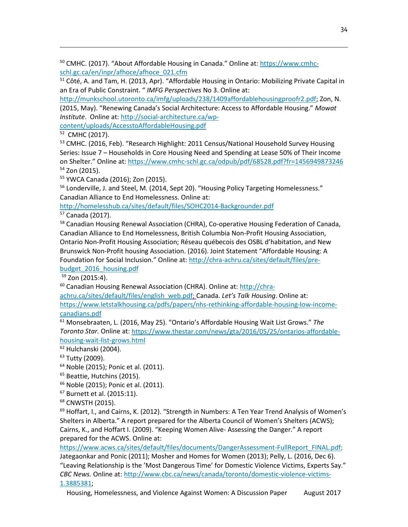<span id="page-34-0"></span><sup>50</sup> CMHC. (2017). "About Affordable Housing in Canada." Online at: [https://www.cmhc](https://www.cmhc-schl.gc.ca/en/inpr/afhoce/afhoce_021.cfm)[schl.gc.ca/en/inpr/afhoce/afhoce\\_021.cfm](https://www.cmhc-schl.gc.ca/en/inpr/afhoce/afhoce_021.cfm)

<span id="page-34-1"></span><sup>51</sup> Côté, A. and Tam, H. (2013, Apr). "Affordable Housing in Ontario: Mobilizing Private Capital in an Era of Public Constraint. " *IMFG Perspectives* No 3. Online at:

[http://munkschool.utoronto.ca/imfg/uploads/238/1409affordablehousingproofr2.pdf;](http://munkschool.utoronto.ca/imfg/uploads/238/1409affordablehousingproofr2.pdf) Zon, N. (2015, May). "Renewing Canada's Social Architecture: Access to Affordable Housing." *Mowat Institute*. Online at: [http://social-architecture.ca/wp-](http://social-architecture.ca/wp-content/uploads/AccesstoAffordableHousing.pdf)

[content/uploads/AccesstoAffordableHousing.pdf](http://social-architecture.ca/wp-content/uploads/AccesstoAffordableHousing.pdf)

<span id="page-34-2"></span>52 CMHC (2017).

 $\overline{\phantom{a}}$ 

<span id="page-34-3"></span><sup>53</sup> CMHC. (2016, Feb). "Research Highlight: 2011 Census/National Household Survey Housing Series: Issue 7 – Households in Core Housing Need and Spending at Lease 50% of Their Income on Shelter." Online at:<https://www.cmhc-schl.gc.ca/odpub/pdf/68528.pdf?fr=1456949873246> <sup>54</sup> Zon (2015).

<span id="page-34-5"></span><span id="page-34-4"></span><sup>55</sup> YWCA Canada (2016); Zon (2015).

<span id="page-34-6"></span><sup>56</sup> Londerville, J. and Steel, M. (2014, Sept 20). "Housing Policy Targeting Homelessness." Canadian Alliance to End Homelessness. Online at:

<http://homelesshub.ca/sites/default/files/SOHC2014-Backgrounder.pdf>

<span id="page-34-7"></span><sup>57</sup> Canada (2017).

<span id="page-34-8"></span><sup>58</sup> Canadian Housing Renewal Association (CHRA), Co-operative Housing Federation of Canada, Canadian Alliance to End Homelessness, British Columbia Non-Profit Housing Association, Ontario Non-Profit Housing Association; Réseau québecois des OSBL d'habitation, and New Brunswick Non-Profit housing Association. (2016). Joint Statement "Affordable Housing: A Foundation for Social Inclusion." Online at[: http://chra-achru.ca/sites/default/files/pre](http://chra-achru.ca/sites/default/files/pre-budget_2016_housing.pdf)[budget\\_2016\\_housing.pdf](http://chra-achru.ca/sites/default/files/pre-budget_2016_housing.pdf)

 $59$  Zon (2015:4).

<span id="page-34-10"></span><span id="page-34-9"></span><sup>60</sup> Canadian Housing Renewal Association (CHRA). Online at: [http://chra-](http://chra-achru.ca/sites/default/files/english_web.pdf)

[achru.ca/sites/default/files/english\\_web.pdf;](http://chra-achru.ca/sites/default/files/english_web.pdf) Canada. *Let's Talk Housing*. Online at: [https://www.letstalkhousing.ca/pdfs/papers/nhs-rethinking-affordable-housing-low-income](https://www.letstalkhousing.ca/pdfs/papers/nhs-rethinking-affordable-housing-low-income-canadians.pdf)[canadians.pdf](https://www.letstalkhousing.ca/pdfs/papers/nhs-rethinking-affordable-housing-low-income-canadians.pdf)

<span id="page-34-11"></span><sup>61</sup> Monsebraaten, L. (2016, May 25). "Ontario's Affordable Housing Wait List Grows." *The Toronto Star.* Online at[: https://www.thestar.com/news/gta/2016/05/25/ontarios-affordable](https://www.thestar.com/news/gta/2016/05/25/ontarios-affordable-housing-wait-list-grows.html)[housing-wait-list-grows.html](https://www.thestar.com/news/gta/2016/05/25/ontarios-affordable-housing-wait-list-grows.html)

<span id="page-34-12"></span> $62$  Hulchanski (2004).

<span id="page-34-13"></span> $63$  Tutty (2009).

<span id="page-34-14"></span><sup>64</sup> Noble (2015); Ponic et al. (2011).

<span id="page-34-15"></span><sup>65</sup> Beattie, Hutchins (2015).

<span id="page-34-16"></span><sup>66</sup> Noble (2015); Ponic et al. (2011).

<span id="page-34-17"></span><sup>67</sup> Burnett et al. (2015:11).

<span id="page-34-18"></span><sup>68</sup> CNWSTH (2015).

<span id="page-34-19"></span> $<sup>69</sup>$  Hoffart, I., and Cairns, K. (2012). "Strength in Numbers: A Ten Year Trend Analysis of Women's</sup> Shelters in Alberta." A report prepared for the Alberta Council of Women's Shelters (ACWS); Cairns, K., and Hoffart I. (2009). "Keeping Women Alive- Assessing the Danger." A report prepared for the ACWS. Online at:

[https://www.acws.ca/sites/default/files/documents/DangerAssessment-FullReport\\_FINAL.pdf;](https://www.acws.ca/sites/default/files/documents/DangerAssessment-FullReport_FINAL.pdf) Jategaonkar and Ponic (2011); Mosher and Homes for Women (2013); Pelly, L. (2016, Dec 6). "Leaving Relationship is the 'Most Dangerous Time' for Domestic Violence Victims, Experts Say." *CBC News.* Online at: [http://www.cbc.ca/news/canada/toronto/domestic-violence-victims-](http://www.cbc.ca/news/canada/toronto/domestic-violence-victims-1.3885381)[1.3885381;](http://www.cbc.ca/news/canada/toronto/domestic-violence-victims-1.3885381)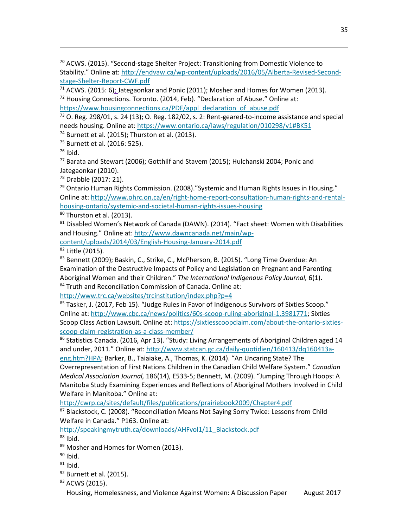<span id="page-35-0"></span><sup>70</sup> ACWS. (2015). "Second-stage Shelter Project: Transitioning from Domestic Violence to Stability." Online at: [http://endvaw.ca/wp-content/uploads/2016/05/Alberta-Revised-Second](http://endvaw.ca/wp-content/uploads/2016/05/Alberta-Revised-Second-stage-Shelter-Report-CWF.pdf)[stage-Shelter-Report-CWF.pdf](http://endvaw.ca/wp-content/uploads/2016/05/Alberta-Revised-Second-stage-Shelter-Report-CWF.pdf)

<span id="page-35-2"></span><span id="page-35-1"></span> $71$  ACWS. (2015: 6); Jategaonkar and Ponic (2011); Mosher and Homes for Women (2013). <sup>72</sup> Housing Connections. Toronto. (2014, Feb). "Declaration of Abuse." Online at:

[https://www.housingconnections.ca/PDF/appl\\_declaration\\_of\\_abuse.pdf](https://www.housingconnections.ca/PDF/appl_declaration_of_abuse.pdf)

<span id="page-35-3"></span> $73$  O. Reg. 298/01, s. 24 (13); O. Reg. 182/02, s. 2: Rent-geared-to-income assistance and special needs housing. Online at:<https://www.ontario.ca/laws/regulation/010298/v1#BK51>

<span id="page-35-5"></span><span id="page-35-4"></span><sup>74</sup> Burnett et al. (2015); Thurston et al. (2013).<br><sup>75</sup> Burnett et al. (2016: 525).

<span id="page-35-6"></span> $76$  Ibid.

 $\overline{\phantom{a}}$ 

<span id="page-35-7"></span><sup>77</sup> Barata and Stewart (2006); Gotthilf and Stavem (2015); Hulchanski 2004; Ponic and Jategaonkar (2010).

<span id="page-35-8"></span><sup>78</sup> Drabble (2017: 21).

<span id="page-35-9"></span> $79$  Ontario Human Rights Commission. (2008)."Systemic and Human Rights Issues in Housing." Online at: [http://www.ohrc.on.ca/en/right-home-report-consultation-human-rights-and-rental](http://www.ohrc.on.ca/en/right-home-report-consultation-human-rights-and-rental-housing-ontario/systemic-and-societal-human-rights-issues-housing)[housing-ontario/systemic-and-societal-human-rights-issues-housing](http://www.ohrc.on.ca/en/right-home-report-consultation-human-rights-and-rental-housing-ontario/systemic-and-societal-human-rights-issues-housing)

<span id="page-35-10"></span> $80$  Thurston et al. (2013).

<span id="page-35-11"></span> $81$  Disabled Women's Network of Canada (DAWN). (2014). "Fact sheet: Women with Disabilities and Housing." Online at[: http://www.dawncanada.net/main/wp-](http://www.dawncanada.net/main/wp-content/uploads/2014/03/English-Housing-January-2014.pdf)

<span id="page-35-12"></span>[content/uploads/2014/03/English-Housing-January-2014.pdf](http://www.dawncanada.net/main/wp-content/uploads/2014/03/English-Housing-January-2014.pdf) 82 Little (2015).

<span id="page-35-13"></span>83 Bennett (2009); Baskin, C., Strike, C., McPherson, B. (2015). "Long Time Overdue: An Examination of the Destructive Impacts of Policy and Legislation on Pregnant and Parenting Aboriginal Women and their Children." *The International Indigenous Policy Journal,* 6(1). 84 Truth and Reconciliation Commission of Canada. Online at:

<span id="page-35-14"></span><http://www.trc.ca/websites/trcinstitution/index.php?p=4>

<span id="page-35-15"></span><sup>85</sup> Tasker, J. (2017, Feb 15). "Judge Rules in Favor of Indigenous Survivors of Sixties Scoop." Online at: [http://www.cbc.ca/news/politics/60s-scoop-ruling-aboriginal-1.3981771;](http://www.cbc.ca/news/politics/60s-scoop-ruling-aboriginal-1.3981771) Sixties Scoop Class Action Lawsuit. Online at: [https://sixtiesscoopclaim.com/about-the-ontario-sixties](https://sixtiesscoopclaim.com/about-the-ontario-sixties-scoop-claim-registration-as-a-class-member/)scoop-claim-registration-as-a-class-member/<br><sup>86</sup> Statistics Canada. (2016, Apr 13). "Study: Living Arrangements of Aboriginal Children aged 14

<span id="page-35-16"></span>and under, 2011." Online at[: http://www.statcan.gc.ca/daily-quotidien/160413/dq160413a-](http://www.statcan.gc.ca/daily-quotidien/160413/dq160413a-eng.htm?HPA)

[eng.htm?HPA;](http://www.statcan.gc.ca/daily-quotidien/160413/dq160413a-eng.htm?HPA) Barker, B., Taiaiake, A., Thomas, K. (2014). "An Uncaring State? The Overrepresentation of First Nations Children in the Canadian Child Welfare System." *Canadian Medical Association Journal,* 186(14), E533-5; Bennett, M. (2009). "Jumping Through Hoops: A Manitoba Study Examining Experiences and Reflections of Aboriginal Mothers Involved in Child Welfare in Manitoba." Online at:

<http://cwrp.ca/sites/default/files/publications/prairiebook2009/Chapter4.pdf>

<span id="page-35-17"></span><sup>87</sup> Blackstock, C. (2008). "Reconciliation Means Not Saying Sorry Twice: Lessons from Child Welfare in Canada." P163. Online at:

[http://speakingmytruth.ca/downloads/AHFvol1/11\\_Blackstock.pdf](http://speakingmytruth.ca/downloads/AHFvol1/11_Blackstock.pdf)  $88$  Ibid.

<span id="page-35-19"></span><span id="page-35-18"></span>89 Mosher and Homes for Women (2013).

<span id="page-35-20"></span> $90$  Ibid.

- <span id="page-35-21"></span><sup>91</sup> Ibid.
- <span id="page-35-22"></span><sup>92</sup> Burnett et al. (2015).

<span id="page-35-23"></span>93 ACWS (2015).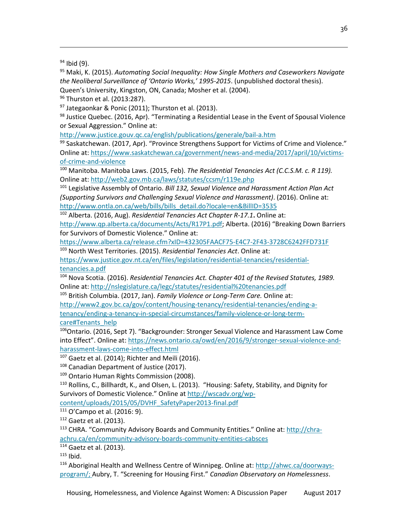$\overline{\phantom{a}}$ 

<span id="page-36-1"></span><sup>95</sup> Maki, K. (2015). *Automating Social Inequality: How Single Mothers and Caseworkers Navigate the Neoliberal Surveillance of 'Ontario Works,' 1995-2015*. (unpublished doctoral thesis). Queen's University, Kingston, ON, Canada; Mosher et al. (2004).

<span id="page-36-2"></span><sup>96</sup> Thurston et al. (2013:287).

<span id="page-36-3"></span> $97$  Jategaonkar & Ponic (2011); Thurston et al. (2013).

<span id="page-36-4"></span>98 Justice Quebec. (2016, Apr). "Terminating a Residential Lease in the Event of Spousal Violence or Sexual Aggression." Online at:

<http://www.justice.gouv.qc.ca/english/publications/generale/bail-a.htm>

<span id="page-36-5"></span>99 Saskatchewan. (2017, Apr). "Province Strengthens Support for Victims of Crime and Violence." Online at: [https://www.saskatchewan.ca/government/news-and-media/2017/april/10/victims](https://www.saskatchewan.ca/government/news-and-media/2017/april/10/victims-of-crime-and-violence)[of-crime-and-violence](https://www.saskatchewan.ca/government/news-and-media/2017/april/10/victims-of-crime-and-violence)

<span id="page-36-6"></span><sup>100</sup> Manitoba. Manitoba Laws. (2015, Feb). *The Residential Tenancies Act (C.C.S.M. c. R 119).*  Online at:<http://web2.gov.mb.ca/laws/statutes/ccsm/r119e.php>

<span id="page-36-7"></span><sup>101</sup> Legislative Assembly of Ontario. *Bill 132, Sexual Violence and Harassment Action Plan Act (Supporting Survivors and Challenging Sexual Violence and Harassment)*. (2016). Online at: [http://www.ontla.on.ca/web/bills/bills\\_detail.do?locale=en&BillID=3535](http://www.ontla.on.ca/web/bills/bills_detail.do?locale=en&BillID=3535)

<span id="page-36-8"></span><sup>102</sup> Alberta. (2016, Aug). *Residential Tenancies Act Chapter R-17.1***.** Online at:

[http://www.qp.alberta.ca/documents/Acts/R17P1.pdf;](http://www.qp.alberta.ca/documents/Acts/R17P1.pdf) Alberta. (2016) "Breaking Down Barriers for Survivors of Domestic Violence." Online at:

<https://www.alberta.ca/release.cfm?xID=432305FAACF75-E4C7-2F43-3728C6242FFD731F>

<span id="page-36-9"></span><sup>103</sup> North West Territories. (2015). *Residential Tenancies Act*. Online at:

[https://www.justice.gov.nt.ca/en/files/legislation/residential-tenancies/residential](https://www.justice.gov.nt.ca/en/files/legislation/residential-tenancies/residential-tenancies.a.pdf)[tenancies.a.pdf](https://www.justice.gov.nt.ca/en/files/legislation/residential-tenancies/residential-tenancies.a.pdf)

<span id="page-36-10"></span><sup>104</sup> Nova Scotia. (2016). *Residential Tenancies Act. Chapter 401 of the Revised Statutes, 1989.*  Online at:<http://nslegislature.ca/legc/statutes/residential%20tenancies.pdf>

<span id="page-36-11"></span><sup>105</sup> British Columbia. (2017, Jan). *Family Violence or Long-Term Care.* Online at: [http://www2.gov.bc.ca/gov/content/housing-tenancy/residential-tenancies/ending-a](http://www2.gov.bc.ca/gov/content/housing-tenancy/residential-tenancies/ending-a-tenancy/ending-a-tenancy-in-special-circumstances/family-violence-or-long-term-care#Tenants_help)[tenancy/ending-a-tenancy-in-special-circumstances/family-violence-or-long-term](http://www2.gov.bc.ca/gov/content/housing-tenancy/residential-tenancies/ending-a-tenancy/ending-a-tenancy-in-special-circumstances/family-violence-or-long-term-care#Tenants_help)[care#Tenants\\_help](http://www2.gov.bc.ca/gov/content/housing-tenancy/residential-tenancies/ending-a-tenancy/ending-a-tenancy-in-special-circumstances/family-violence-or-long-term-care#Tenants_help)

<span id="page-36-12"></span>106Ontario. (2016, Sept 7). "Backgrounder: Stronger Sexual Violence and Harassment Law Come into Effect". Online at: [https://news.ontario.ca/owd/en/2016/9/stronger-sexual-violence-and](https://news.ontario.ca/owd/en/2016/9/stronger-sexual-violence-and-harassment-laws-come-into-effect.html)[harassment-laws-come-into-effect.html](https://news.ontario.ca/owd/en/2016/9/stronger-sexual-violence-and-harassment-laws-come-into-effect.html)

<span id="page-36-13"></span> $107$  Gaetz et al. (2014); Richter and Meili (2016).

<span id="page-36-14"></span><sup>108</sup> Canadian Department of Justice (2017).

<span id="page-36-15"></span>109 Ontario Human Rights Commission (2008).

<span id="page-36-16"></span><sup>110</sup> Rollins, C., Billhardt, K., and Olsen, L. (2013). "Housing: Safety, Stability, and Dignity for Survivors of Domestic Violence." Online at [http://wscadv.org/wp-](http://wscadv.org/wp-content/uploads/2015/05/DVHF_SafetyPaper2013-final.pdf)

[content/uploads/2015/05/DVHF\\_SafetyPaper2013-final.pdf](http://wscadv.org/wp-content/uploads/2015/05/DVHF_SafetyPaper2013-final.pdf)

<span id="page-36-18"></span><span id="page-36-17"></span><sup>111</sup> O'Campo et al. (2016: 9).<br><sup>112</sup> Gaetz et al. (2013).

<span id="page-36-19"></span><sup>113</sup> CHRA. "Community Advisory Boards and Community Entities." Online at: [http://chra](http://chra-achru.ca/en/community-advisory-boards-community-entities-cabsces)[achru.ca/en/community-advisory-boards-community-entities-cabsces](http://chra-achru.ca/en/community-advisory-boards-community-entities-cabsces)

<span id="page-36-21"></span><span id="page-36-20"></span> $114$  Gaetz et al. (2013).<br> $115$  Ibid.

<span id="page-36-22"></span><sup>116</sup> Aboriginal Health and Wellness Centre of Winnipeg. Online at: [http://ahwc.ca/doorways](http://ahwc.ca/doorways-program/)[program/;](http://ahwc.ca/doorways-program/) Aubry, T. "Screening for Housing First." *Canadian Observatory on Homelessness*.

<span id="page-36-0"></span><sup>&</sup>lt;sup>94</sup> Ibid (9).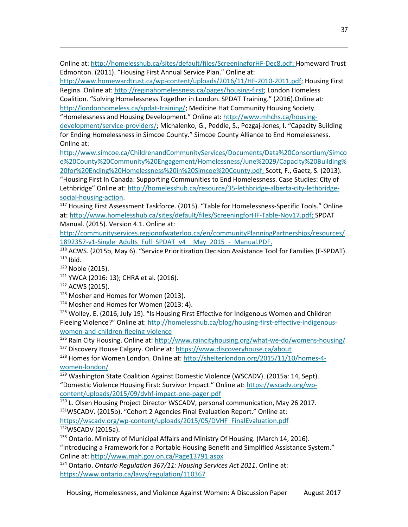Online at: [http://homelesshub.ca/sites/default/files/ScreeningforHF-Dec8.pdf;](http://homelesshub.ca/sites/default/files/ScreeningforHF-Dec8.pdf) Homeward Trust Edmonton. (2011). "Housing First Annual Service Plan." Online at:

[http://www.homewardtrust.ca/wp-content/uploads/2016/11/HF-2010-2011.pdf;](http://www.homewardtrust.ca/wp-content/uploads/2016/11/HF-2010-2011.pdf) Housing First Regina. Online at[: http://reginahomelessness.ca/pages/housing-first;](http://reginahomelessness.ca/pages/housing-first) London Homeless

Coalition. "Solving Homelessness Together in London. SPDAT Training." (2016).Online at: [http://londonhomeless.ca/spdat-training/;](http://londonhomeless.ca/spdat-training/) Medicine Hat Community Housing Society. "Homelessness and Housing Development." Online at: [http://www.mhchs.ca/housing-](http://www.mhchs.ca/housing-development/service-providers/)

[development/service-providers/;](http://www.mhchs.ca/housing-development/service-providers/) Michalenko, G., Peddle, S., Pozgaj-Jones, I. "Capacity Building for Ending Homelessness in Simcoe County." Simcoe County Alliance to End Homelessness. Online at:

[http://www.simcoe.ca/ChildrenandCommunityServices/Documents/Data%20Consortium/Simco](http://www.simcoe.ca/ChildrenandCommunityServices/Documents/Data%20Consortium/Simcoe%20County%20Community%20Engagement/Homelessness/June%2029/Capacity%20Building%20for%20Ending%20Homelessness%20in%20Simcoe%20County.pdf) [e%20County%20Community%20Engagement/Homelessness/June%2029/Capacity%20Building%](http://www.simcoe.ca/ChildrenandCommunityServices/Documents/Data%20Consortium/Simcoe%20County%20Community%20Engagement/Homelessness/June%2029/Capacity%20Building%20for%20Ending%20Homelessness%20in%20Simcoe%20County.pdf) [20for%20Ending%20Homelessness%20in%20Simcoe%20County.pdf;](http://www.simcoe.ca/ChildrenandCommunityServices/Documents/Data%20Consortium/Simcoe%20County%20Community%20Engagement/Homelessness/June%2029/Capacity%20Building%20for%20Ending%20Homelessness%20in%20Simcoe%20County.pdf) Scott, F., Gaetz, S. (2013).

"Housing First In Canada: Supporting Communities to End Homelessness. Case Studies: City of Lethbridge" Online at[: http://homelesshub.ca/resource/35-lethbridge-alberta-city-lethbridge](http://homelesshub.ca/resource/35-lethbridge-alberta-city-lethbridge-social-housing-action)[social-housing-action.](http://homelesshub.ca/resource/35-lethbridge-alberta-city-lethbridge-social-housing-action)

<span id="page-37-0"></span><sup>117</sup> Housing First Assessment Taskforce. (2015). "Table for Homelessness-Specific Tools." Online at: [http://www.homelesshub.ca/sites/default/files/ScreeningforHF-Table-Nov17.pdf;](http://www.homelesshub.ca/sites/default/files/ScreeningforHF-Table-Nov17.pdf) SPDAT Manual. (2015). Version 4.1. Online at:

[http://communityservices.regionofwaterloo.ca/en/communityPlanningPartnerships/resources/](http://communityservices.regionofwaterloo.ca/en/communityPlanningPartnerships/resources/1892357-v1-Single_Adults_Full_SPDAT_v4__May_2015_-_Manual.PDF)

<span id="page-37-1"></span>[1892357-v1-Single\\_Adults\\_Full\\_SPDAT\\_v4\\_\\_May\\_2015\\_-\\_Manual.PDF.](http://communityservices.regionofwaterloo.ca/en/communityPlanningPartnerships/resources/1892357-v1-Single_Adults_Full_SPDAT_v4__May_2015_-_Manual.PDF)<br><sup>118</sup> ACWS. (2015b, May 6). "Service Prioritization Decision Assistance Tool for Families (F-SPDAT).  $119$  Ibid.

 $\overline{\phantom{a}}$ 

<span id="page-37-4"></span><span id="page-37-3"></span><span id="page-37-2"></span><sup>120</sup> Noble (2015).<br><sup>121</sup> YWCA (2016: 13); CHRA et al. (2016).<br><sup>122</sup> ACWS (2015).

<span id="page-37-7"></span><span id="page-37-6"></span><span id="page-37-5"></span> $123$  Mosher and Homes for Women (2013).<br> $124$  Mosher and Homes for Women (2013: 4).

<span id="page-37-8"></span>125 Wolley, E. (2016, July 19). "Is Housing First Effective for [Indigenous](http://homelesshub.ca/blog/housing-first-effective-indigenous-women-and-children-fleeing-violence) Women and Children Fleeing [Violence?"](http://homelesshub.ca/blog/housing-first-effective-indigenous-women-and-children-fleeing-violence) Online at: [http://homelesshub.ca/blog/housing-first-effective-indigenous](http://homelesshub.ca/blog/housing-first-effective-indigenous-women-and-children-fleeing-violence)[women-and-children-fleeing-violence](http://homelesshub.ca/blog/housing-first-effective-indigenous-women-and-children-fleeing-violence)

<span id="page-37-10"></span><span id="page-37-9"></span><sup>126</sup> Rain City Housing. Online at:<http://www.raincityhousing.org/what-we-do/womens-housing/> <sup>127</sup> Discovery House Calgary. Online at:<https://www.discoveryhouse.ca/about>

<span id="page-37-11"></span><sup>128</sup> Homes for Women London. Online at: [http://shelterlondon.org/2015/11/10/homes-4](http://shelterlondon.org/2015/11/10/homes-4-women-london/) [women-london/](http://shelterlondon.org/2015/11/10/homes-4-women-london/)

<span id="page-37-12"></span><sup>129</sup> Washington State Coalition Against Domestic Violence (WSCADV). (2015a: 14, Sept). "Domestic Violence Housing First: Survivor Impact." Online at: [https://wscadv.org/wp](https://wscadv.org/wp-content/uploads/2015/09/dvhf-impact-one-pager.pdf)[content/uploads/2015/09/dvhf-impact-one-pager.pdf](https://wscadv.org/wp-content/uploads/2015/09/dvhf-impact-one-pager.pdf)

<span id="page-37-13"></span><sup>130</sup> L. Olsen Housing Project Director WSCADV, personal communication, May 26 2017. <sup>131</sup>WSCADV. (2015b). "Cohort 2 Agencies Final Evaluation Report." Online at:

<span id="page-37-15"></span><span id="page-37-14"></span>https://wscadv.org/wp-content/uploads/2015/05/DVHF\_FinalEvaluation.pdf<br><sup>132</sup>WSCADV (2015a).

<span id="page-37-16"></span><sup>133</sup> Ontario. Ministry of Municipal Affairs and Ministry Of Housing. (March 14, 2016). "Introducing a Framework for a Portable Housing Benefit and Simplified Assistance System." Online at:<http://www.mah.gov.on.ca/Page13791.aspx>

<span id="page-37-17"></span><sup>134</sup> Ontario. *Ontario Regulation 367/11: Housing Services Act 2011*. Online at: <https://www.ontario.ca/laws/regulation/110367>